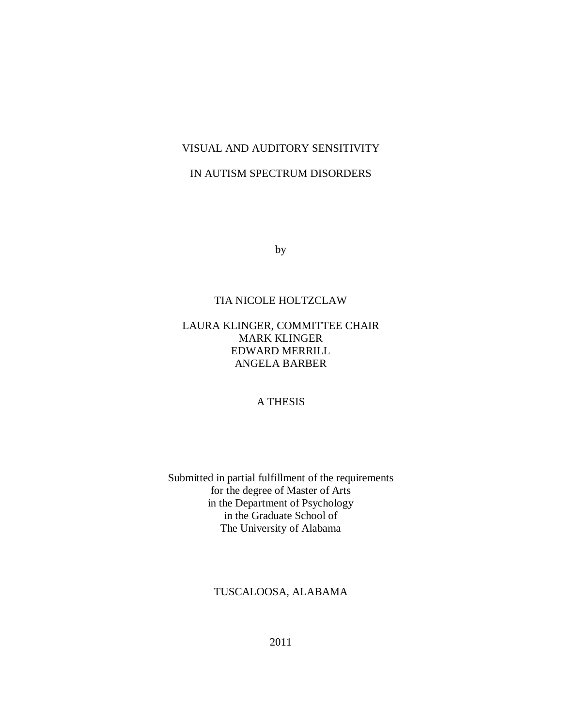# VISUAL AND AUDITORY SENSITIVITY

# IN AUTISM SPECTRUM DISORDERS

by

# TIA NICOLE HOLTZCLAW

# LAURA KLINGER, COMMITTEE CHAIR MARK KLINGER EDWARD MERRILL ANGELA BARBER

# A THESIS

Submitted in partial fulfillment of the requirements for the degree of Master of Arts in the Department of Psychology in the Graduate School of The University of Alabama

TUSCALOOSA, ALABAMA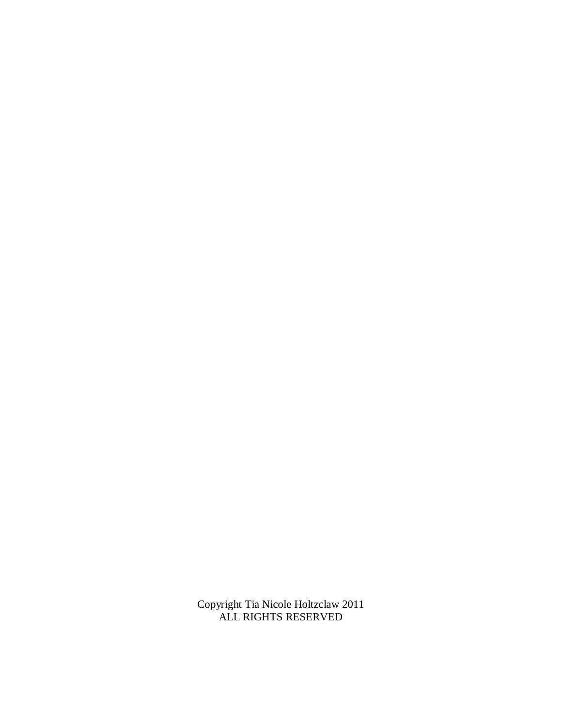Copyright Tia Nicole Holtzclaw 2011 ALL RIGHTS RESERVED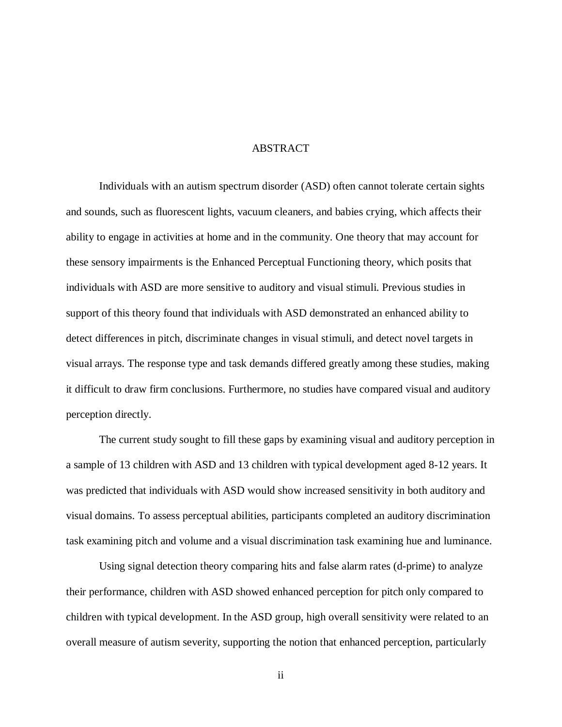### ABSTRACT

Individuals with an autism spectrum disorder (ASD) often cannot tolerate certain sights and sounds, such as fluorescent lights, vacuum cleaners, and babies crying, which affects their ability to engage in activities at home and in the community. One theory that may account for these sensory impairments is the Enhanced Perceptual Functioning theory, which posits that individuals with ASD are more sensitive to auditory and visual stimuli. Previous studies in support of this theory found that individuals with ASD demonstrated an enhanced ability to detect differences in pitch, discriminate changes in visual stimuli, and detect novel targets in visual arrays. The response type and task demands differed greatly among these studies, making it difficult to draw firm conclusions. Furthermore, no studies have compared visual and auditory perception directly.

The current study sought to fill these gaps by examining visual and auditory perception in a sample of 13 children with ASD and 13 children with typical development aged 8-12 years. It was predicted that individuals with ASD would show increased sensitivity in both auditory and visual domains. To assess perceptual abilities, participants completed an auditory discrimination task examining pitch and volume and a visual discrimination task examining hue and luminance.

Using signal detection theory comparing hits and false alarm rates (d-prime) to analyze their performance, children with ASD showed enhanced perception for pitch only compared to children with typical development. In the ASD group, high overall sensitivity were related to an overall measure of autism severity, supporting the notion that enhanced perception, particularly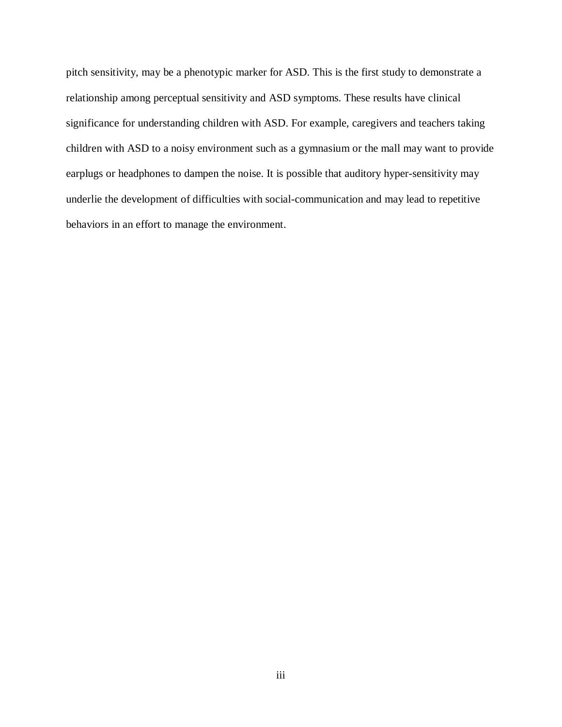pitch sensitivity, may be a phenotypic marker for ASD. This is the first study to demonstrate a relationship among perceptual sensitivity and ASD symptoms. These results have clinical significance for understanding children with ASD. For example, caregivers and teachers taking children with ASD to a noisy environment such as a gymnasium or the mall may want to provide earplugs or headphones to dampen the noise. It is possible that auditory hyper-sensitivity may underlie the development of difficulties with social-communication and may lead to repetitive behaviors in an effort to manage the environment.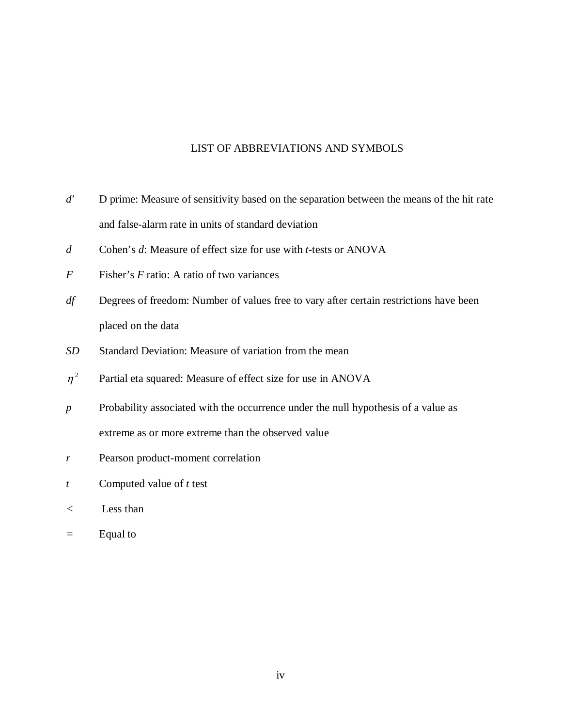# LIST OF ABBREVIATIONS AND SYMBOLS

- *d'* D prime: Measure of sensitivity based on the separation between the means of the hit rate and false-alarm rate in units of standard deviation
- *d* Cohen's *d*: Measure of effect size for use with *t-*tests or ANOVA
- *F* Fisher's *F* ratio: A ratio of two variances
- *df* Degrees of freedom: Number of values free to vary after certain restrictions have been placed on the data
- *SD* Standard Deviation: Measure of variation from the mean
- $\eta^2$  Partial eta squared: Measure of effect size for use in ANOVA
- *p* Probability associated with the occurrence under the null hypothesis of a value as extreme as or more extreme than the observed value
- *r* Pearson product-moment correlation
- *t* Computed value of *t* test
- *<* Less than
- *=* Equal to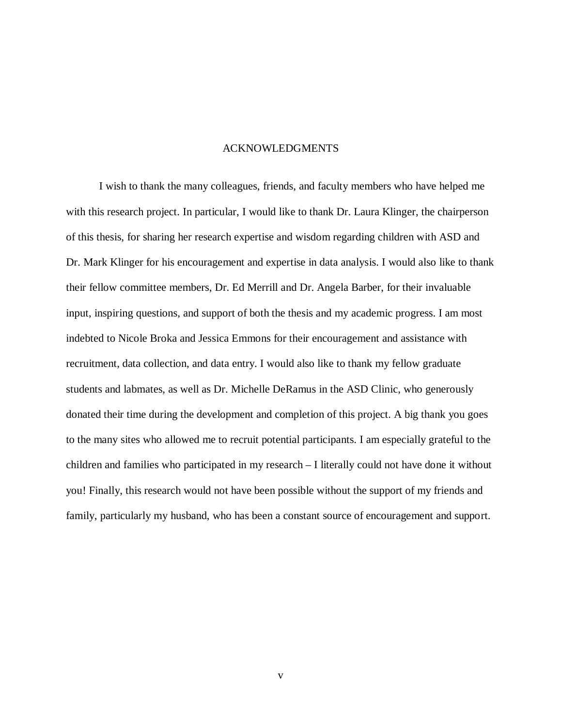### ACKNOWLEDGMENTS

I wish to thank the many colleagues, friends, and faculty members who have helped me with this research project. In particular, I would like to thank Dr. Laura Klinger, the chairperson of this thesis, for sharing her research expertise and wisdom regarding children with ASD and Dr. Mark Klinger for his encouragement and expertise in data analysis. I would also like to thank their fellow committee members, Dr. Ed Merrill and Dr. Angela Barber, for their invaluable input, inspiring questions, and support of both the thesis and my academic progress. I am most indebted to Nicole Broka and Jessica Emmons for their encouragement and assistance with recruitment, data collection, and data entry. I would also like to thank my fellow graduate students and labmates, as well as Dr. Michelle DeRamus in the ASD Clinic, who generously donated their time during the development and completion of this project. A big thank you goes to the many sites who allowed me to recruit potential participants. I am especially grateful to the children and families who participated in my research – I literally could not have done it without you! Finally, this research would not have been possible without the support of my friends and family, particularly my husband, who has been a constant source of encouragement and support.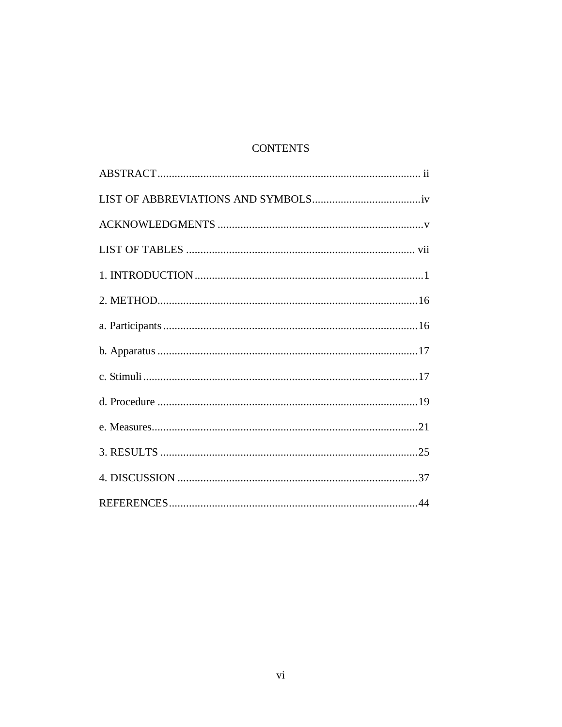# **CONTENTS**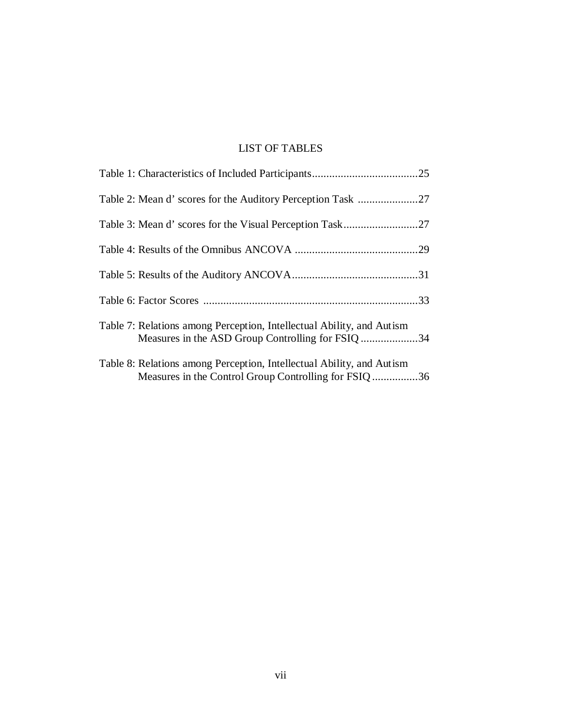# LIST OF TABLES

| Table 2: Mean d' scores for the Auditory Perception Task 27                                                                    |  |
|--------------------------------------------------------------------------------------------------------------------------------|--|
|                                                                                                                                |  |
|                                                                                                                                |  |
|                                                                                                                                |  |
|                                                                                                                                |  |
| Table 7: Relations among Perception, Intellectual Ability, and Autism<br>Measures in the ASD Group Controlling for FSIQ 34     |  |
| Table 8: Relations among Perception, Intellectual Ability, and Autism<br>Measures in the Control Group Controlling for FSIQ 36 |  |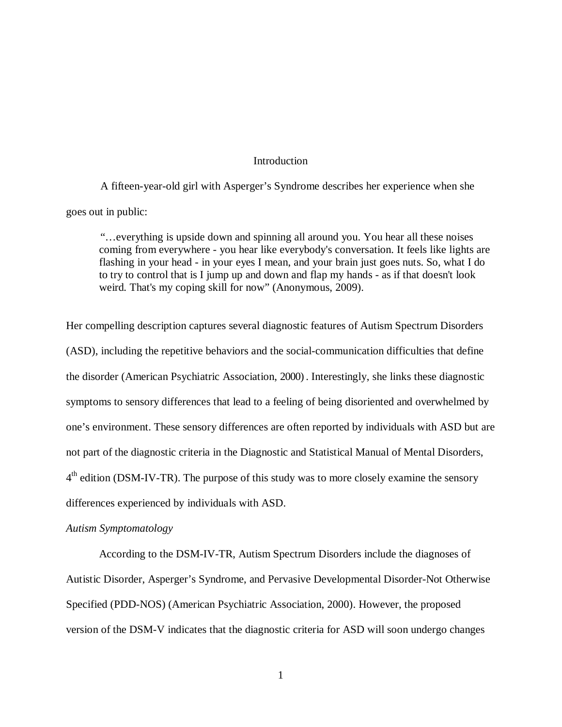### **Introduction**

A fifteen-year-old girl with Asperger's Syndrome describes her experience when she goes out in public:

"…everything is upside down and spinning all around you. You hear all these noises coming from everywhere - you hear like everybody's conversation. It feels like lights are flashing in your head - in your eyes I mean, and your brain just goes nuts. So, what I do to try to control that is I jump up and down and flap my hands - as if that doesn't look weird. That's my coping skill for now" (Anonymous, 2009).

Her compelling description captures several diagnostic features of Autism Spectrum Disorders (ASD), including the repetitive behaviors and the social-communication difficulties that define the disorder (American Psychiatric Association, 2000). Interestingly, she links these diagnostic symptoms to sensory differences that lead to a feeling of being disoriented and overwhelmed by one's environment. These sensory differences are often reported by individuals with ASD but are not part of the diagnostic criteria in the Diagnostic and Statistical Manual of Mental Disorders, 4<sup>th</sup> edition (DSM-IV-TR). The purpose of this study was to more closely examine the sensory differences experienced by individuals with ASD.

## *Autism Symptomatology*

According to the DSM-IV-TR, Autism Spectrum Disorders include the diagnoses of Autistic Disorder, Asperger's Syndrome, and Pervasive Developmental Disorder-Not Otherwise Specified (PDD-NOS) (American Psychiatric Association, 2000). However, the proposed version of the DSM-V indicates that the diagnostic criteria for ASD will soon undergo changes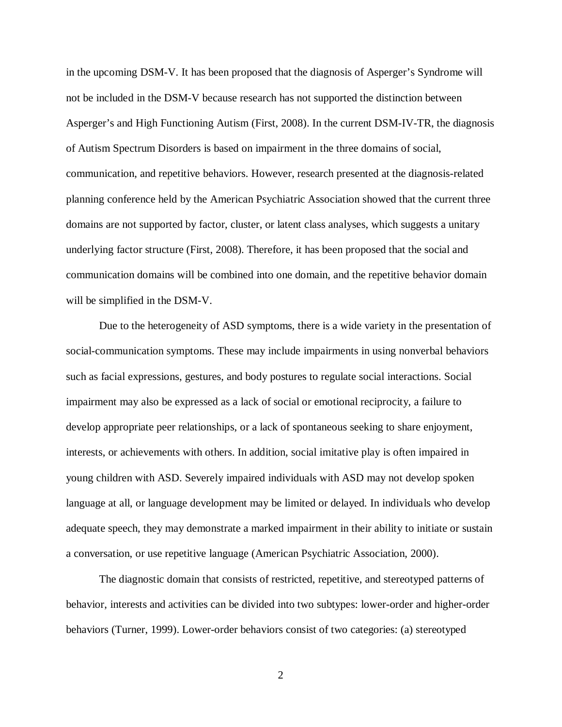in the upcoming DSM-V. It has been proposed that the diagnosis of Asperger's Syndrome will not be included in the DSM-V because research has not supported the distinction between Asperger's and High Functioning Autism (First, 2008). In the current DSM-IV-TR, the diagnosis of Autism Spectrum Disorders is based on impairment in the three domains of social, communication, and repetitive behaviors. However, research presented at the diagnosis-related planning conference held by the American Psychiatric Association showed that the current three domains are not supported by factor, cluster, or latent class analyses, which suggests a unitary underlying factor structure (First, 2008). Therefore, it has been proposed that the social and communication domains will be combined into one domain, and the repetitive behavior domain will be simplified in the DSM-V.

Due to the heterogeneity of ASD symptoms, there is a wide variety in the presentation of social-communication symptoms. These may include impairments in using nonverbal behaviors such as facial expressions, gestures, and body postures to regulate social interactions. Social impairment may also be expressed as a lack of social or emotional reciprocity, a failure to develop appropriate peer relationships, or a lack of spontaneous seeking to share enjoyment, interests, or achievements with others. In addition, social imitative play is often impaired in young children with ASD. Severely impaired individuals with ASD may not develop spoken language at all, or language development may be limited or delayed. In individuals who develop adequate speech, they may demonstrate a marked impairment in their ability to initiate or sustain a conversation, or use repetitive language (American Psychiatric Association, 2000).

The diagnostic domain that consists of restricted, repetitive, and stereotyped patterns of behavior, interests and activities can be divided into two subtypes: lower-order and higher-order behaviors (Turner, 1999). Lower-order behaviors consist of two categories: (a) stereotyped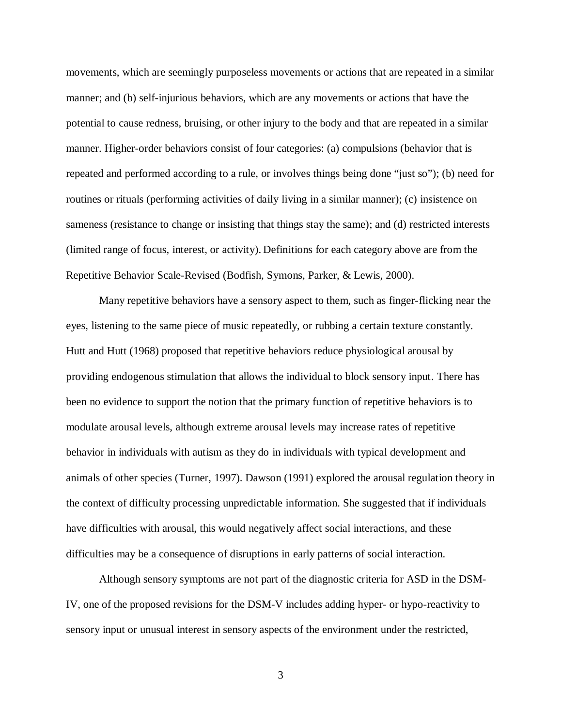movements, which are seemingly purposeless movements or actions that are repeated in a similar manner; and (b) self-injurious behaviors, which are any movements or actions that have the potential to cause redness, bruising, or other injury to the body and that are repeated in a similar manner. Higher-order behaviors consist of four categories: (a) compulsions (behavior that is repeated and performed according to a rule, or involves things being done "just so"); (b) need for routines or rituals (performing activities of daily living in a similar manner); (c) insistence on sameness (resistance to change or insisting that things stay the same); and (d) restricted interests (limited range of focus, interest, or activity). Definitions for each category above are from the Repetitive Behavior Scale-Revised (Bodfish, Symons, Parker, & Lewis, 2000).

Many repetitive behaviors have a sensory aspect to them, such as finger-flicking near the eyes, listening to the same piece of music repeatedly, or rubbing a certain texture constantly. Hutt and Hutt (1968) proposed that repetitive behaviors reduce physiological arousal by providing endogenous stimulation that allows the individual to block sensory input. There has been no evidence to support the notion that the primary function of repetitive behaviors is to modulate arousal levels, although extreme arousal levels may increase rates of repetitive behavior in individuals with autism as they do in individuals with typical development and animals of other species (Turner, 1997). Dawson (1991) explored the arousal regulation theory in the context of difficulty processing unpredictable information. She suggested that if individuals have difficulties with arousal, this would negatively affect social interactions, and these difficulties may be a consequence of disruptions in early patterns of social interaction.

Although sensory symptoms are not part of the diagnostic criteria for ASD in the DSM-IV, one of the proposed revisions for the DSM-V includes adding hyper- or hypo-reactivity to sensory input or unusual interest in sensory aspects of the environment under the restricted,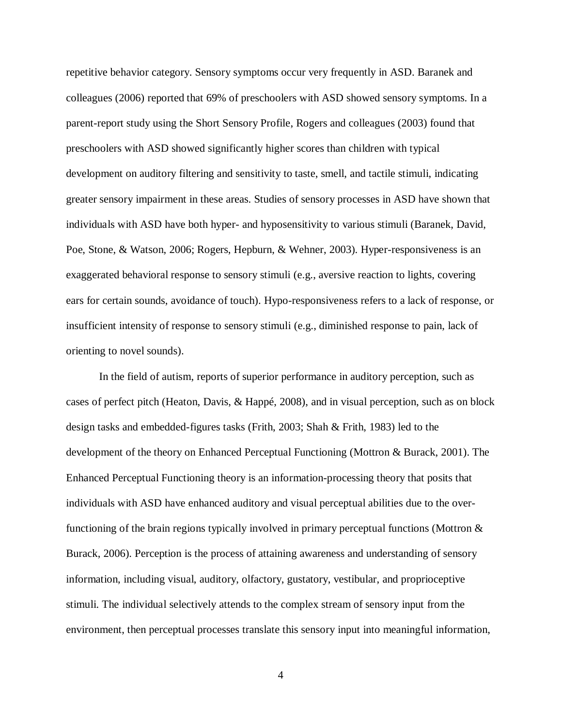repetitive behavior category. Sensory symptoms occur very frequently in ASD. Baranek and colleagues (2006) reported that 69% of preschoolers with ASD showed sensory symptoms. In a parent-report study using the Short Sensory Profile, Rogers and colleagues (2003) found that preschoolers with ASD showed significantly higher scores than children with typical development on auditory filtering and sensitivity to taste, smell, and tactile stimuli, indicating greater sensory impairment in these areas. Studies of sensory processes in ASD have shown that individuals with ASD have both hyper- and hyposensitivity to various stimuli (Baranek, David, Poe, Stone, & Watson, 2006; Rogers, Hepburn, & Wehner, 2003). Hyper-responsiveness is an exaggerated behavioral response to sensory stimuli (e.g., aversive reaction to lights, covering ears for certain sounds, avoidance of touch). Hypo-responsiveness refers to a lack of response, or insufficient intensity of response to sensory stimuli (e.g., diminished response to pain, lack of orienting to novel sounds).

In the field of autism, reports of superior performance in auditory perception, such as cases of perfect pitch (Heaton, Davis, & Happé, 2008), and in visual perception, such as on block design tasks and embedded-figures tasks (Frith, 2003; Shah & Frith, 1983) led to the development of the theory on Enhanced Perceptual Functioning (Mottron & Burack, 2001). The Enhanced Perceptual Functioning theory is an information-processing theory that posits that individuals with ASD have enhanced auditory and visual perceptual abilities due to the overfunctioning of the brain regions typically involved in primary perceptual functions (Mottron & Burack, 2006). Perception is the process of attaining awareness and understanding of sensory information, including visual, auditory, olfactory, gustatory, vestibular, and proprioceptive stimuli. The individual selectively attends to the complex stream of sensory input from the environment, then perceptual processes translate this sensory input into meaningful information,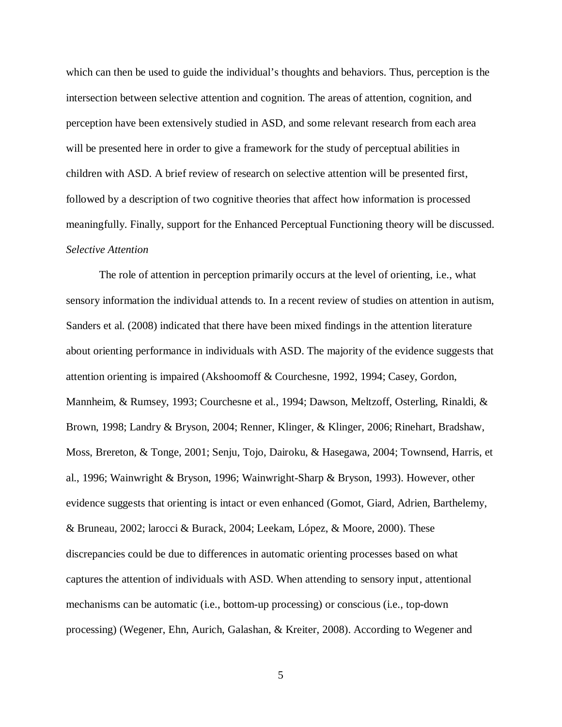which can then be used to guide the individual's thoughts and behaviors. Thus, perception is the intersection between selective attention and cognition. The areas of attention, cognition, and perception have been extensively studied in ASD, and some relevant research from each area will be presented here in order to give a framework for the study of perceptual abilities in children with ASD. A brief review of research on selective attention will be presented first, followed by a description of two cognitive theories that affect how information is processed meaningfully. Finally, support for the Enhanced Perceptual Functioning theory will be discussed. *Selective Attention*

The role of attention in perception primarily occurs at the level of orienting, i.e., what sensory information the individual attends to. In a recent review of studies on attention in autism, Sanders et al. (2008) indicated that there have been mixed findings in the attention literature about orienting performance in individuals with ASD. The majority of the evidence suggests that attention orienting is impaired (Akshoomoff & Courchesne, 1992, 1994; Casey, Gordon, Mannheim, & Rumsey, 1993; Courchesne et al., 1994; Dawson, Meltzoff, Osterling, Rinaldi, & Brown, 1998; Landry & Bryson, 2004; Renner, Klinger, & Klinger, 2006; Rinehart, Bradshaw, Moss, Brereton, & Tonge, 2001; Senju, Tojo, Dairoku, & Hasegawa, 2004; Townsend, Harris, et al., 1996; Wainwright & Bryson, 1996; Wainwright-Sharp & Bryson, 1993). However, other evidence suggests that orienting is intact or even enhanced (Gomot, Giard, Adrien, Barthelemy, & Bruneau, 2002; larocci & Burack, 2004; Leekam, López, & Moore, 2000). These discrepancies could be due to differences in automatic orienting processes based on what captures the attention of individuals with ASD. When attending to sensory input, attentional mechanisms can be automatic (i.e., bottom-up processing) or conscious (i.e., top-down processing) (Wegener, Ehn, Aurich, Galashan, & Kreiter, 2008). According to Wegener and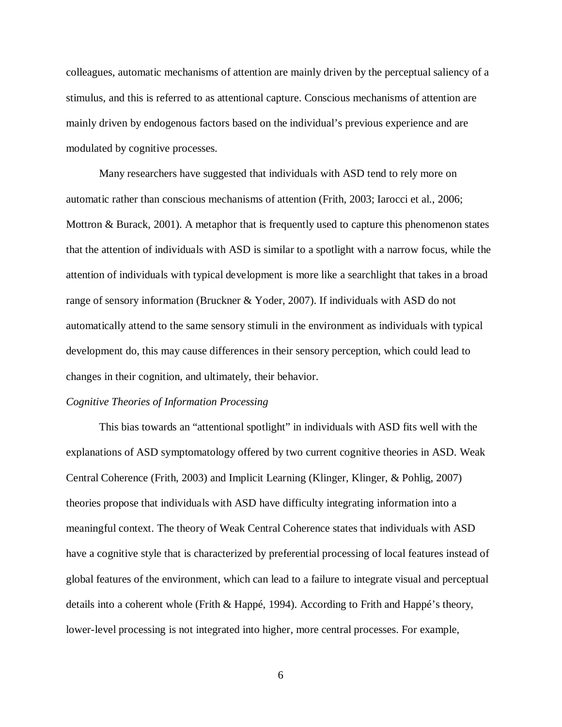colleagues, automatic mechanisms of attention are mainly driven by the perceptual saliency of a stimulus, and this is referred to as attentional capture. Conscious mechanisms of attention are mainly driven by endogenous factors based on the individual's previous experience and are modulated by cognitive processes.

Many researchers have suggested that individuals with ASD tend to rely more on automatic rather than conscious mechanisms of attention (Frith, 2003; Iarocci et al., 2006; Mottron  $\&$  Burack, 2001). A metaphor that is frequently used to capture this phenomenon states that the attention of individuals with ASD is similar to a spotlight with a narrow focus, while the attention of individuals with typical development is more like a searchlight that takes in a broad range of sensory information (Bruckner & Yoder, 2007). If individuals with ASD do not automatically attend to the same sensory stimuli in the environment as individuals with typical development do, this may cause differences in their sensory perception, which could lead to changes in their cognition, and ultimately, their behavior.

### *Cognitive Theories of Information Processing*

This bias towards an "attentional spotlight" in individuals with ASD fits well with the explanations of ASD symptomatology offered by two current cognitive theories in ASD. Weak Central Coherence (Frith, 2003) and Implicit Learning (Klinger, Klinger, & Pohlig, 2007) theories propose that individuals with ASD have difficulty integrating information into a meaningful context. The theory of Weak Central Coherence states that individuals with ASD have a cognitive style that is characterized by preferential processing of local features instead of global features of the environment, which can lead to a failure to integrate visual and perceptual details into a coherent whole (Frith & Happé, 1994). According to Frith and Happé's theory, lower-level processing is not integrated into higher, more central processes. For example,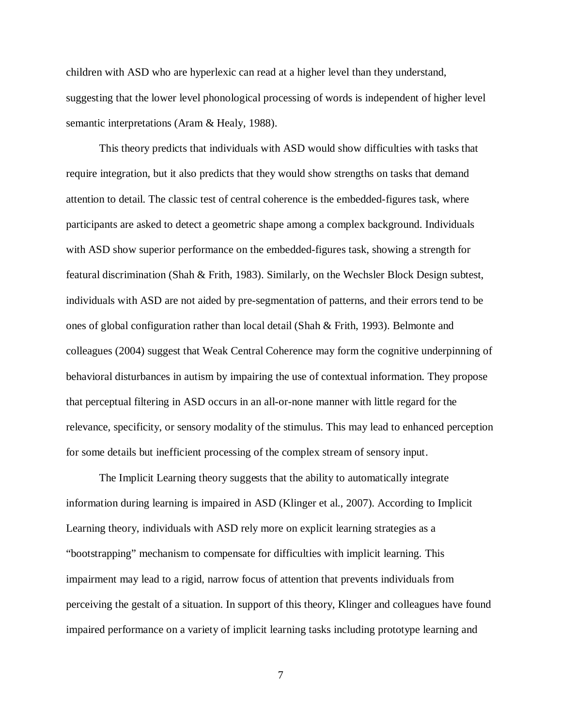children with ASD who are hyperlexic can read at a higher level than they understand, suggesting that the lower level phonological processing of words is independent of higher level semantic interpretations (Aram & Healy, 1988).

This theory predicts that individuals with ASD would show difficulties with tasks that require integration, but it also predicts that they would show strengths on tasks that demand attention to detail. The classic test of central coherence is the embedded-figures task, where participants are asked to detect a geometric shape among a complex background. Individuals with ASD show superior performance on the embedded-figures task, showing a strength for featural discrimination (Shah & Frith, 1983). Similarly, on the Wechsler Block Design subtest, individuals with ASD are not aided by pre-segmentation of patterns, and their errors tend to be ones of global configuration rather than local detail (Shah & Frith, 1993). Belmonte and colleagues (2004) suggest that Weak Central Coherence may form the cognitive underpinning of behavioral disturbances in autism by impairing the use of contextual information. They propose that perceptual filtering in ASD occurs in an all-or-none manner with little regard for the relevance, specificity, or sensory modality of the stimulus. This may lead to enhanced perception for some details but inefficient processing of the complex stream of sensory input.

The Implicit Learning theory suggests that the ability to automatically integrate information during learning is impaired in ASD (Klinger et al., 2007). According to Implicit Learning theory, individuals with ASD rely more on explicit learning strategies as a "bootstrapping" mechanism to compensate for difficulties with implicit learning. This impairment may lead to a rigid, narrow focus of attention that prevents individuals from perceiving the gestalt of a situation. In support of this theory, Klinger and colleagues have found impaired performance on a variety of implicit learning tasks including prototype learning and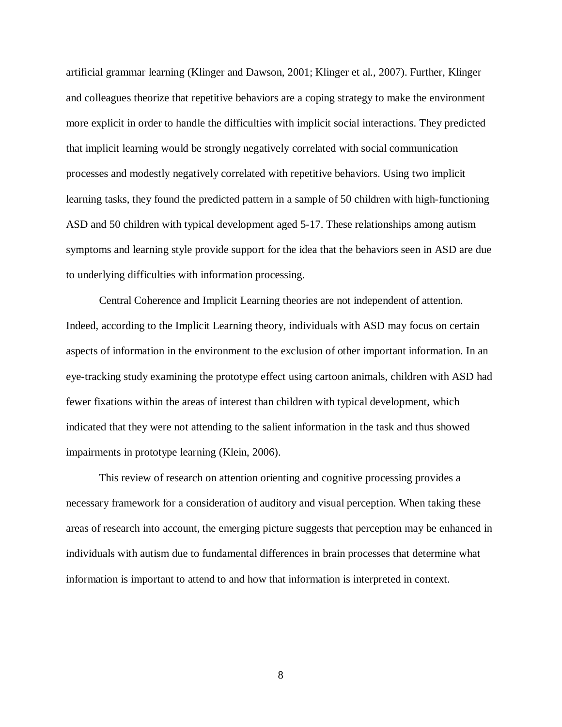artificial grammar learning (Klinger and Dawson, 2001; Klinger et al., 2007). Further, Klinger and colleagues theorize that repetitive behaviors are a coping strategy to make the environment more explicit in order to handle the difficulties with implicit social interactions. They predicted that implicit learning would be strongly negatively correlated with social communication processes and modestly negatively correlated with repetitive behaviors. Using two implicit learning tasks, they found the predicted pattern in a sample of 50 children with high-functioning ASD and 50 children with typical development aged 5-17. These relationships among autism symptoms and learning style provide support for the idea that the behaviors seen in ASD are due to underlying difficulties with information processing.

Central Coherence and Implicit Learning theories are not independent of attention. Indeed, according to the Implicit Learning theory, individuals with ASD may focus on certain aspects of information in the environment to the exclusion of other important information. In an eye-tracking study examining the prototype effect using cartoon animals, children with ASD had fewer fixations within the areas of interest than children with typical development, which indicated that they were not attending to the salient information in the task and thus showed impairments in prototype learning (Klein, 2006).

This review of research on attention orienting and cognitive processing provides a necessary framework for a consideration of auditory and visual perception. When taking these areas of research into account, the emerging picture suggests that perception may be enhanced in individuals with autism due to fundamental differences in brain processes that determine what information is important to attend to and how that information is interpreted in context.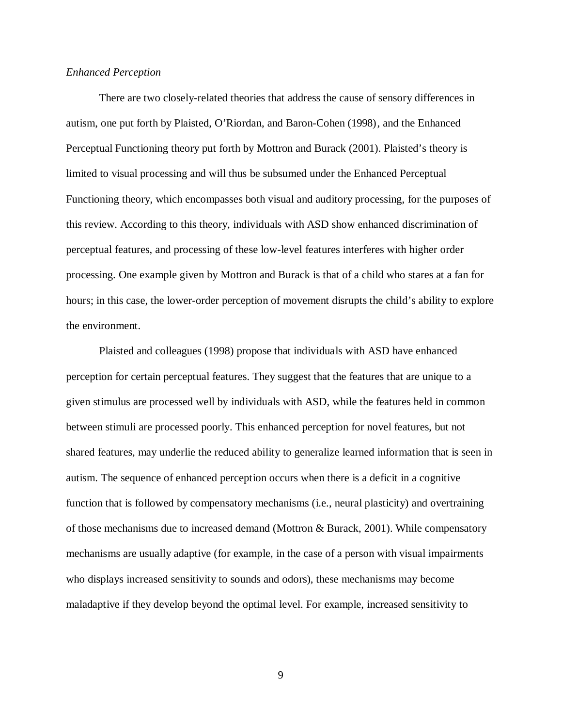### *Enhanced Perception*

There are two closely-related theories that address the cause of sensory differences in autism, one put forth by Plaisted, O'Riordan, and Baron-Cohen (1998), and the Enhanced Perceptual Functioning theory put forth by Mottron and Burack (2001). Plaisted's theory is limited to visual processing and will thus be subsumed under the Enhanced Perceptual Functioning theory, which encompasses both visual and auditory processing, for the purposes of this review. According to this theory, individuals with ASD show enhanced discrimination of perceptual features, and processing of these low-level features interferes with higher order processing. One example given by Mottron and Burack is that of a child who stares at a fan for hours; in this case, the lower-order perception of movement disrupts the child's ability to explore the environment.

Plaisted and colleagues (1998) propose that individuals with ASD have enhanced perception for certain perceptual features. They suggest that the features that are unique to a given stimulus are processed well by individuals with ASD, while the features held in common between stimuli are processed poorly. This enhanced perception for novel features, but not shared features, may underlie the reduced ability to generalize learned information that is seen in autism. The sequence of enhanced perception occurs when there is a deficit in a cognitive function that is followed by compensatory mechanisms (i.e., neural plasticity) and overtraining of those mechanisms due to increased demand (Mottron & Burack, 2001). While compensatory mechanisms are usually adaptive (for example, in the case of a person with visual impairments who displays increased sensitivity to sounds and odors), these mechanisms may become maladaptive if they develop beyond the optimal level. For example, increased sensitivity to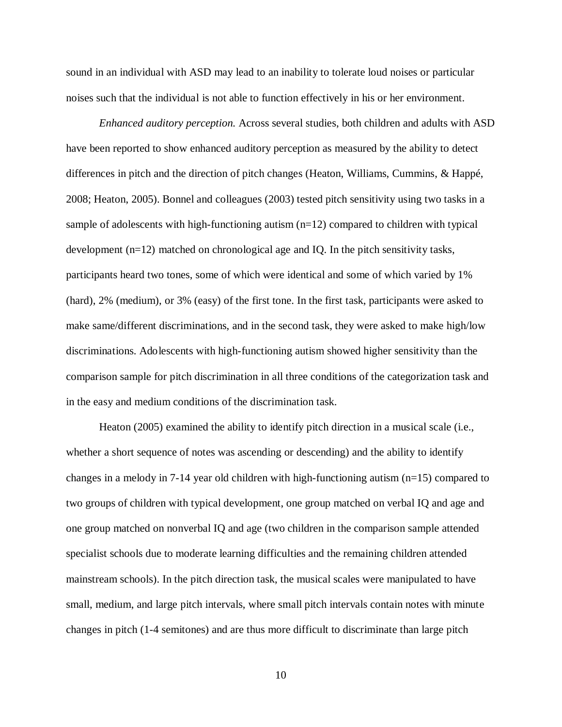sound in an individual with ASD may lead to an inability to tolerate loud noises or particular noises such that the individual is not able to function effectively in his or her environment.

*Enhanced auditory perception.* Across several studies, both children and adults with ASD have been reported to show enhanced auditory perception as measured by the ability to detect differences in pitch and the direction of pitch changes (Heaton, Williams, Cummins, & Happé, 2008; Heaton, 2005). Bonnel and colleagues (2003) tested pitch sensitivity using two tasks in a sample of adolescents with high-functioning autism (n=12) compared to children with typical development  $(n=12)$  matched on chronological age and IQ. In the pitch sensitivity tasks, participants heard two tones, some of which were identical and some of which varied by 1% (hard), 2% (medium), or 3% (easy) of the first tone. In the first task, participants were asked to make same/different discriminations, and in the second task, they were asked to make high/low discriminations. Adolescents with high-functioning autism showed higher sensitivity than the comparison sample for pitch discrimination in all three conditions of the categorization task and in the easy and medium conditions of the discrimination task.

Heaton (2005) examined the ability to identify pitch direction in a musical scale (i.e., whether a short sequence of notes was ascending or descending) and the ability to identify changes in a melody in 7-14 year old children with high-functioning autism (n=15) compared to two groups of children with typical development, one group matched on verbal IQ and age and one group matched on nonverbal IQ and age (two children in the comparison sample attended specialist schools due to moderate learning difficulties and the remaining children attended mainstream schools). In the pitch direction task, the musical scales were manipulated to have small, medium, and large pitch intervals, where small pitch intervals contain notes with minute changes in pitch (1-4 semitones) and are thus more difficult to discriminate than large pitch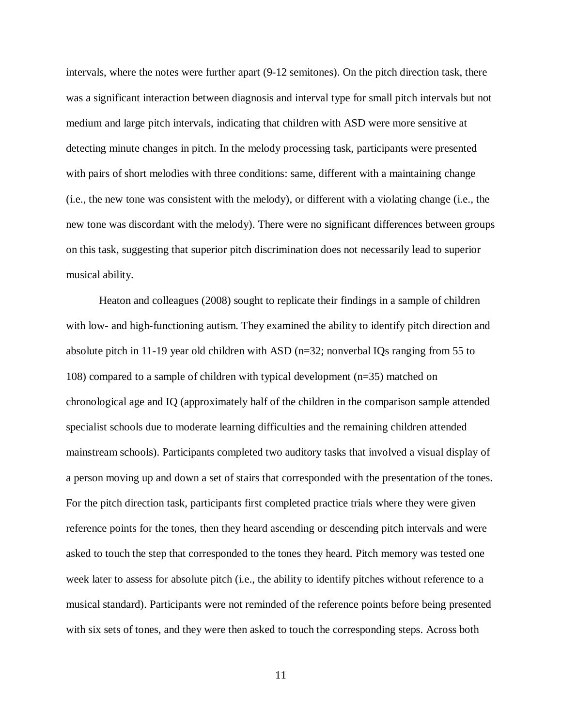intervals, where the notes were further apart (9-12 semitones). On the pitch direction task, there was a significant interaction between diagnosis and interval type for small pitch intervals but not medium and large pitch intervals, indicating that children with ASD were more sensitive at detecting minute changes in pitch. In the melody processing task, participants were presented with pairs of short melodies with three conditions: same, different with a maintaining change (i.e., the new tone was consistent with the melody), or different with a violating change (i.e., the new tone was discordant with the melody). There were no significant differences between groups on this task, suggesting that superior pitch discrimination does not necessarily lead to superior musical ability.

Heaton and colleagues (2008) sought to replicate their findings in a sample of children with low- and high-functioning autism. They examined the ability to identify pitch direction and absolute pitch in 11-19 year old children with ASD (n=32; nonverbal IQs ranging from 55 to 108) compared to a sample of children with typical development (n=35) matched on chronological age and IQ (approximately half of the children in the comparison sample attended specialist schools due to moderate learning difficulties and the remaining children attended mainstream schools). Participants completed two auditory tasks that involved a visual display of a person moving up and down a set of stairs that corresponded with the presentation of the tones. For the pitch direction task, participants first completed practice trials where they were given reference points for the tones, then they heard ascending or descending pitch intervals and were asked to touch the step that corresponded to the tones they heard. Pitch memory was tested one week later to assess for absolute pitch (i.e., the ability to identify pitches without reference to a musical standard). Participants were not reminded of the reference points before being presented with six sets of tones, and they were then asked to touch the corresponding steps. Across both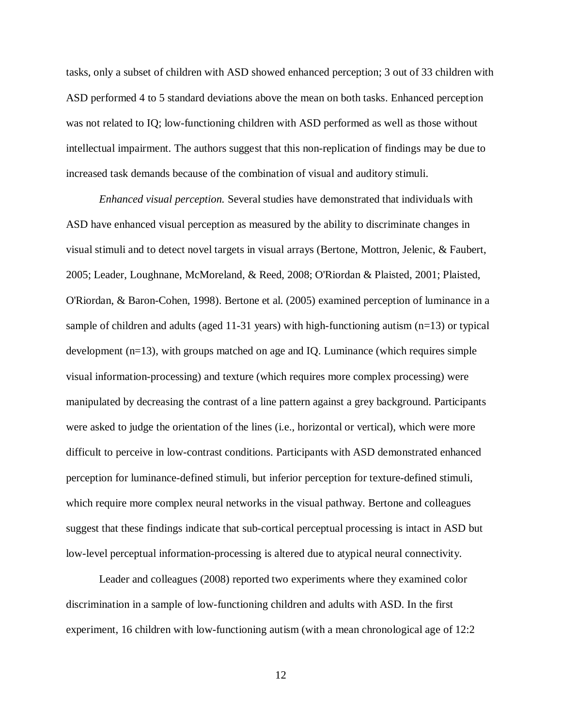tasks, only a subset of children with ASD showed enhanced perception; 3 out of 33 children with ASD performed 4 to 5 standard deviations above the mean on both tasks. Enhanced perception was not related to IQ; low-functioning children with ASD performed as well as those without intellectual impairment. The authors suggest that this non-replication of findings may be due to increased task demands because of the combination of visual and auditory stimuli.

*Enhanced visual perception.* Several studies have demonstrated that individuals with ASD have enhanced visual perception as measured by the ability to discriminate changes in visual stimuli and to detect novel targets in visual arrays (Bertone, Mottron, Jelenic, & Faubert, 2005; Leader, Loughnane, McMoreland, & Reed, 2008; O'Riordan & Plaisted, 2001; Plaisted, O'Riordan, & Baron-Cohen, 1998). Bertone et al. (2005) examined perception of luminance in a sample of children and adults (aged 11-31 years) with high-functioning autism (n=13) or typical development  $(n=13)$ , with groups matched on age and IQ. Luminance (which requires simple visual information-processing) and texture (which requires more complex processing) were manipulated by decreasing the contrast of a line pattern against a grey background. Participants were asked to judge the orientation of the lines (i.e., horizontal or vertical), which were more difficult to perceive in low-contrast conditions. Participants with ASD demonstrated enhanced perception for luminance-defined stimuli, but inferior perception for texture-defined stimuli, which require more complex neural networks in the visual pathway. Bertone and colleagues suggest that these findings indicate that sub-cortical perceptual processing is intact in ASD but low-level perceptual information-processing is altered due to atypical neural connectivity.

Leader and colleagues (2008) reported two experiments where they examined color discrimination in a sample of low-functioning children and adults with ASD. In the first experiment, 16 children with low-functioning autism (with a mean chronological age of 12:2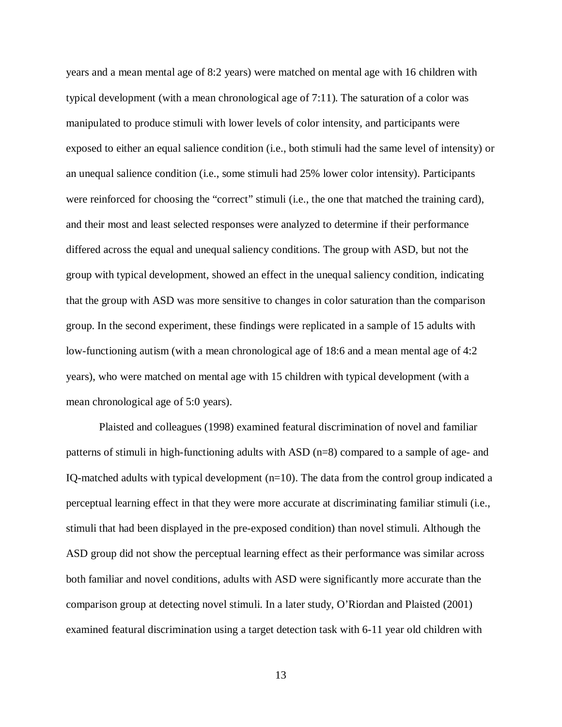years and a mean mental age of 8:2 years) were matched on mental age with 16 children with typical development (with a mean chronological age of 7:11). The saturation of a color was manipulated to produce stimuli with lower levels of color intensity, and participants were exposed to either an equal salience condition (i.e., both stimuli had the same level of intensity) or an unequal salience condition (i.e., some stimuli had 25% lower color intensity). Participants were reinforced for choosing the "correct" stimuli (i.e., the one that matched the training card), and their most and least selected responses were analyzed to determine if their performance differed across the equal and unequal saliency conditions. The group with ASD, but not the group with typical development, showed an effect in the unequal saliency condition, indicating that the group with ASD was more sensitive to changes in color saturation than the comparison group. In the second experiment, these findings were replicated in a sample of 15 adults with low-functioning autism (with a mean chronological age of 18:6 and a mean mental age of 4:2 years), who were matched on mental age with 15 children with typical development (with a mean chronological age of 5:0 years).

Plaisted and colleagues (1998) examined featural discrimination of novel and familiar patterns of stimuli in high-functioning adults with ASD (n=8) compared to a sample of age- and IQ-matched adults with typical development (n=10). The data from the control group indicated a perceptual learning effect in that they were more accurate at discriminating familiar stimuli (i.e., stimuli that had been displayed in the pre-exposed condition) than novel stimuli. Although the ASD group did not show the perceptual learning effect as their performance was similar across both familiar and novel conditions, adults with ASD were significantly more accurate than the comparison group at detecting novel stimuli. In a later study, O'Riordan and Plaisted (2001) examined featural discrimination using a target detection task with 6-11 year old children with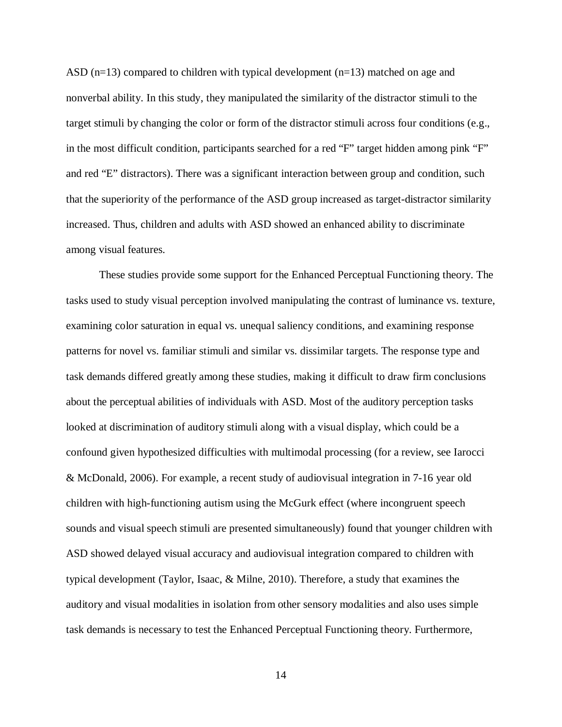ASD  $(n=13)$  compared to children with typical development  $(n=13)$  matched on age and nonverbal ability. In this study, they manipulated the similarity of the distractor stimuli to the target stimuli by changing the color or form of the distractor stimuli across four conditions (e.g., in the most difficult condition, participants searched for a red "F" target hidden among pink "F" and red "E" distractors). There was a significant interaction between group and condition, such that the superiority of the performance of the ASD group increased as target-distractor similarity increased. Thus, children and adults with ASD showed an enhanced ability to discriminate among visual features.

These studies provide some support for the Enhanced Perceptual Functioning theory. The tasks used to study visual perception involved manipulating the contrast of luminance vs. texture, examining color saturation in equal vs. unequal saliency conditions, and examining response patterns for novel vs. familiar stimuli and similar vs. dissimilar targets. The response type and task demands differed greatly among these studies, making it difficult to draw firm conclusions about the perceptual abilities of individuals with ASD. Most of the auditory perception tasks looked at discrimination of auditory stimuli along with a visual display, which could be a confound given hypothesized difficulties with multimodal processing (for a review, see Iarocci & McDonald, 2006). For example, a recent study of audiovisual integration in 7-16 year old children with high-functioning autism using the McGurk effect (where incongruent speech sounds and visual speech stimuli are presented simultaneously) found that younger children with ASD showed delayed visual accuracy and audiovisual integration compared to children with typical development (Taylor, Isaac, & Milne, 2010). Therefore, a study that examines the auditory and visual modalities in isolation from other sensory modalities and also uses simple task demands is necessary to test the Enhanced Perceptual Functioning theory. Furthermore,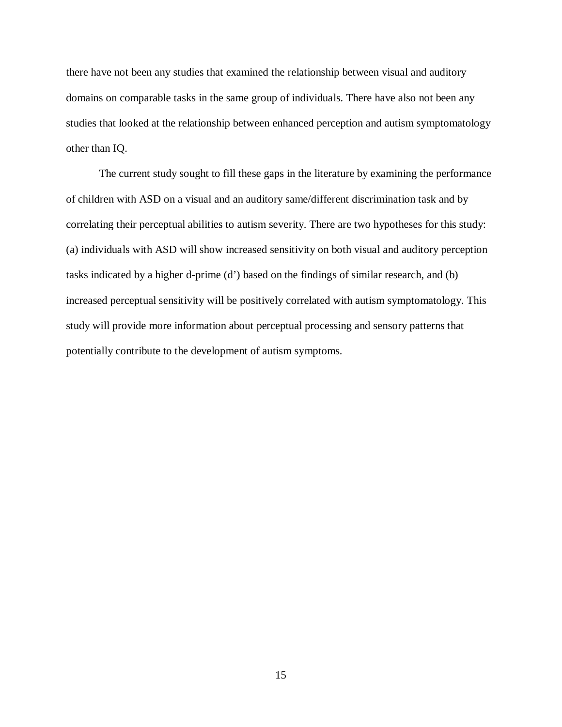there have not been any studies that examined the relationship between visual and auditory domains on comparable tasks in the same group of individuals. There have also not been any studies that looked at the relationship between enhanced perception and autism symptomatology other than IQ.

The current study sought to fill these gaps in the literature by examining the performance of children with ASD on a visual and an auditory same/different discrimination task and by correlating their perceptual abilities to autism severity. There are two hypotheses for this study: (a) individuals with ASD will show increased sensitivity on both visual and auditory perception tasks indicated by a higher d-prime (d') based on the findings of similar research, and (b) increased perceptual sensitivity will be positively correlated with autism symptomatology. This study will provide more information about perceptual processing and sensory patterns that potentially contribute to the development of autism symptoms.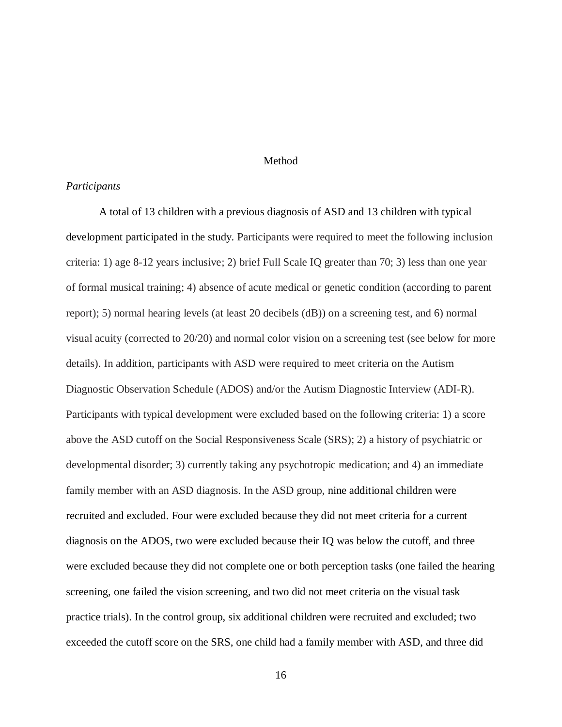### Method

### *Participants*

A total of 13 children with a previous diagnosis of ASD and 13 children with typical development participated in the study. Participants were required to meet the following inclusion criteria: 1) age 8-12 years inclusive; 2) brief Full Scale IQ greater than 70; 3) less than one year of formal musical training; 4) absence of acute medical or genetic condition (according to parent report); 5) normal hearing levels (at least 20 decibels (dB)) on a screening test, and 6) normal visual acuity (corrected to 20/20) and normal color vision on a screening test (see below for more details). In addition, participants with ASD were required to meet criteria on the Autism Diagnostic Observation Schedule (ADOS) and/or the Autism Diagnostic Interview (ADI-R). Participants with typical development were excluded based on the following criteria: 1) a score above the ASD cutoff on the Social Responsiveness Scale (SRS); 2) a history of psychiatric or developmental disorder; 3) currently taking any psychotropic medication; and 4) an immediate family member with an ASD diagnosis. In the ASD group, nine additional children were recruited and excluded. Four were excluded because they did not meet criteria for a current diagnosis on the ADOS, two were excluded because their IQ was below the cutoff, and three were excluded because they did not complete one or both perception tasks (one failed the hearing screening, one failed the vision screening, and two did not meet criteria on the visual task practice trials). In the control group, six additional children were recruited and excluded; two exceeded the cutoff score on the SRS, one child had a family member with ASD, and three did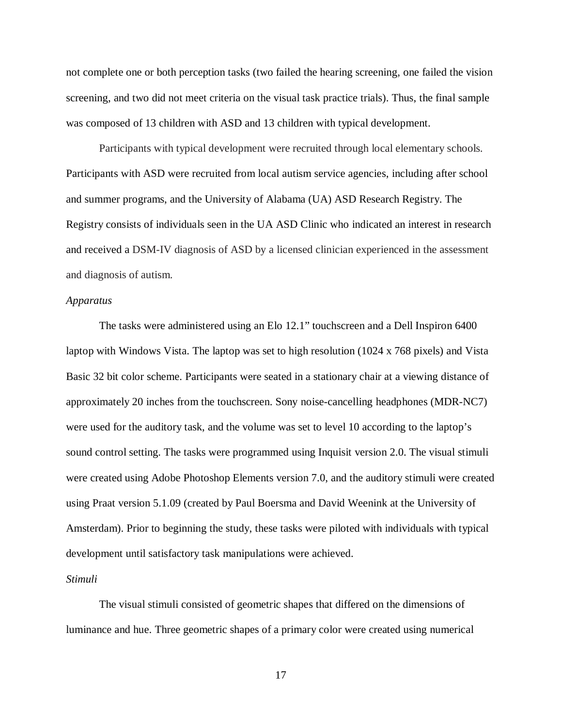not complete one or both perception tasks (two failed the hearing screening, one failed the vision screening, and two did not meet criteria on the visual task practice trials). Thus, the final sample was composed of 13 children with ASD and 13 children with typical development.

Participants with typical development were recruited through local elementary schools. Participants with ASD were recruited from local autism service agencies, including after school and summer programs, and the University of Alabama (UA) ASD Research Registry. The Registry consists of individuals seen in the UA ASD Clinic who indicated an interest in research and received a DSM-IV diagnosis of ASD by a licensed clinician experienced in the assessment and diagnosis of autism.

### *Apparatus*

The tasks were administered using an Elo 12.1" touchscreen and a Dell Inspiron 6400 laptop with Windows Vista. The laptop was set to high resolution (1024 x 768 pixels) and Vista Basic 32 bit color scheme. Participants were seated in a stationary chair at a viewing distance of approximately 20 inches from the touchscreen. Sony noise-cancelling headphones (MDR-NC7) were used for the auditory task, and the volume was set to level 10 according to the laptop's sound control setting. The tasks were programmed using Inquisit version 2.0. The visual stimuli were created using Adobe Photoshop Elements version 7.0, and the auditory stimuli were created using Praat version 5.1.09 (created by Paul Boersma and David Weenink at the University of Amsterdam). Prior to beginning the study, these tasks were piloted with individuals with typical development until satisfactory task manipulations were achieved.

### *Stimuli*

The visual stimuli consisted of geometric shapes that differed on the dimensions of luminance and hue. Three geometric shapes of a primary color were created using numerical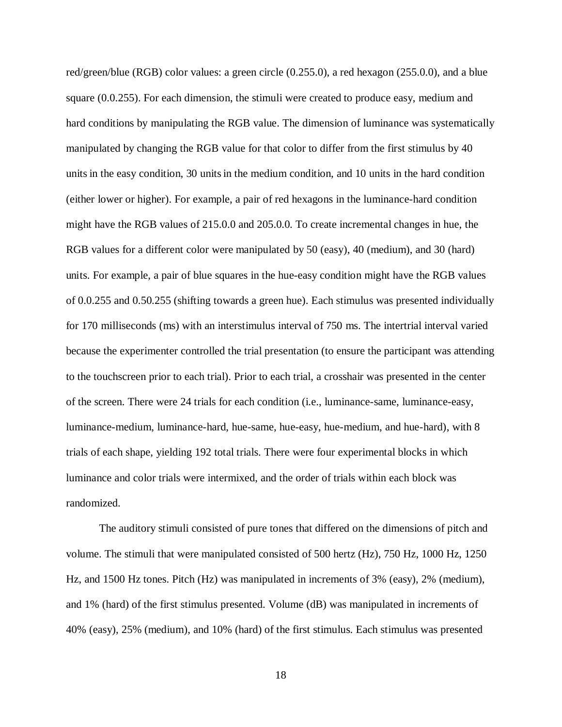red/green/blue (RGB) color values: a green circle (0.255.0), a red hexagon (255.0.0), and a blue square (0.0.255). For each dimension, the stimuli were created to produce easy, medium and hard conditions by manipulating the RGB value. The dimension of luminance was systematically manipulated by changing the RGB value for that color to differ from the first stimulus by 40 unitsin the easy condition, 30 unitsin the medium condition, and 10 units in the hard condition (either lower or higher). For example, a pair of red hexagons in the luminance-hard condition might have the RGB values of 215.0.0 and 205.0.0. To create incremental changes in hue, the RGB values for a different color were manipulated by 50 (easy), 40 (medium), and 30 (hard) units. For example, a pair of blue squares in the hue-easy condition might have the RGB values of 0.0.255 and 0.50.255 (shifting towards a green hue). Each stimulus was presented individually for 170 milliseconds (ms) with an interstimulus interval of 750 ms. The intertrial interval varied because the experimenter controlled the trial presentation (to ensure the participant was attending to the touchscreen prior to each trial). Prior to each trial, a crosshair was presented in the center of the screen. There were 24 trials for each condition (i.e., luminance-same, luminance-easy, luminance-medium, luminance-hard, hue-same, hue-easy, hue-medium, and hue-hard), with 8 trials of each shape, yielding 192 total trials. There were four experimental blocks in which luminance and color trials were intermixed, and the order of trials within each block was randomized.

The auditory stimuli consisted of pure tones that differed on the dimensions of pitch and volume. The stimuli that were manipulated consisted of 500 hertz (Hz), 750 Hz, 1000 Hz, 1250 Hz, and 1500 Hz tones. Pitch (Hz) was manipulated in increments of 3% (easy), 2% (medium), and 1% (hard) of the first stimulus presented. Volume (dB) was manipulated in increments of 40% (easy), 25% (medium), and 10% (hard) of the first stimulus. Each stimulus was presented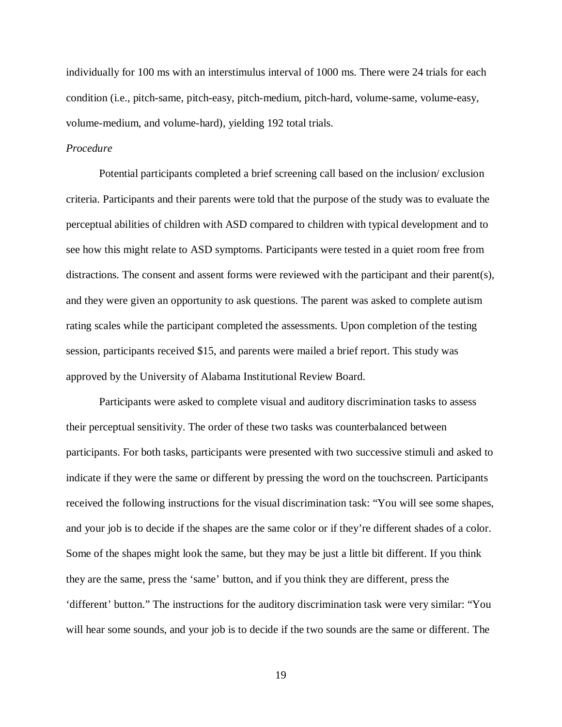individually for 100 ms with an interstimulus interval of 1000 ms. There were 24 trials for each condition (i.e., pitch-same, pitch-easy, pitch-medium, pitch-hard, volume-same, volume-easy, volume-medium, and volume-hard), yielding 192 total trials.

# *Procedure*

Potential participants completed a brief screening call based on the inclusion/ exclusion criteria. Participants and their parents were told that the purpose of the study was to evaluate the perceptual abilities of children with ASD compared to children with typical development and to see how this might relate to ASD symptoms. Participants were tested in a quiet room free from distractions. The consent and assent forms were reviewed with the participant and their parent(s), and they were given an opportunity to ask questions. The parent was asked to complete autism rating scales while the participant completed the assessments. Upon completion of the testing session, participants received \$15, and parents were mailed a brief report. This study was approved by the University of Alabama Institutional Review Board.

Participants were asked to complete visual and auditory discrimination tasks to assess their perceptual sensitivity. The order of these two tasks was counterbalanced between participants. For both tasks, participants were presented with two successive stimuli and asked to indicate if they were the same or different by pressing the word on the touchscreen. Participants received the following instructions for the visual discrimination task: "You will see some shapes, and your job is to decide if the shapes are the same color or if they're different shades of a color. Some of the shapes might look the same, but they may be just a little bit different. If you think they are the same, press the 'same' button, and if you think they are different, press the 'different' button." The instructions for the auditory discrimination task were very similar: "You will hear some sounds, and your job is to decide if the two sounds are the same or different. The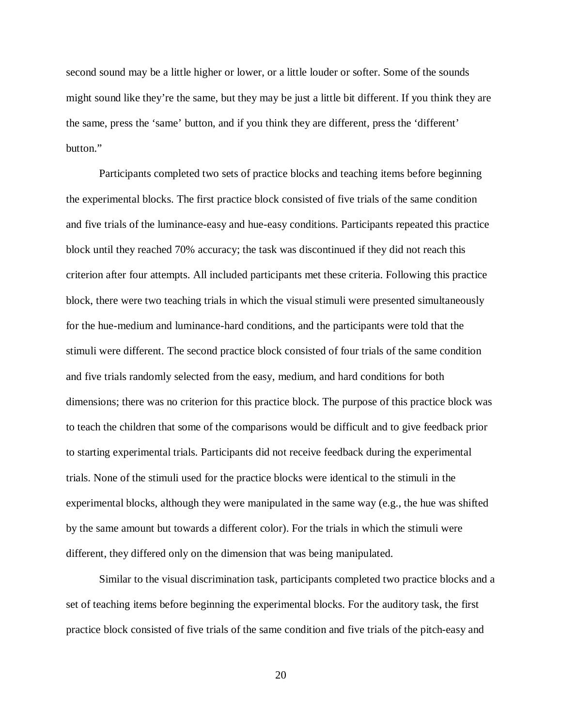second sound may be a little higher or lower, or a little louder or softer. Some of the sounds might sound like they're the same, but they may be just a little bit different. If you think they are the same, press the 'same' button, and if you think they are different, press the 'different' button."

Participants completed two sets of practice blocks and teaching items before beginning the experimental blocks. The first practice block consisted of five trials of the same condition and five trials of the luminance-easy and hue-easy conditions. Participants repeated this practice block until they reached 70% accuracy; the task was discontinued if they did not reach this criterion after four attempts. All included participants met these criteria. Following this practice block, there were two teaching trials in which the visual stimuli were presented simultaneously for the hue-medium and luminance-hard conditions, and the participants were told that the stimuli were different. The second practice block consisted of four trials of the same condition and five trials randomly selected from the easy, medium, and hard conditions for both dimensions; there was no criterion for this practice block. The purpose of this practice block was to teach the children that some of the comparisons would be difficult and to give feedback prior to starting experimental trials. Participants did not receive feedback during the experimental trials. None of the stimuli used for the practice blocks were identical to the stimuli in the experimental blocks, although they were manipulated in the same way (e.g., the hue was shifted by the same amount but towards a different color). For the trials in which the stimuli were different, they differed only on the dimension that was being manipulated.

Similar to the visual discrimination task, participants completed two practice blocks and a set of teaching items before beginning the experimental blocks. For the auditory task, the first practice block consisted of five trials of the same condition and five trials of the pitch-easy and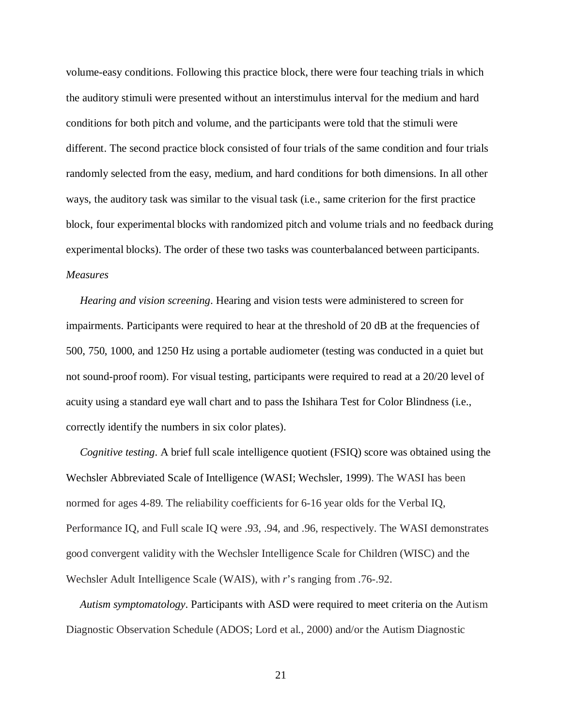volume-easy conditions. Following this practice block, there were four teaching trials in which the auditory stimuli were presented without an interstimulus interval for the medium and hard conditions for both pitch and volume, and the participants were told that the stimuli were different. The second practice block consisted of four trials of the same condition and four trials randomly selected from the easy, medium, and hard conditions for both dimensions. In all other ways, the auditory task was similar to the visual task (i.e., same criterion for the first practice block, four experimental blocks with randomized pitch and volume trials and no feedback during experimental blocks). The order of these two tasks was counterbalanced between participants. *Measures*

 *Hearing and vision screening*. Hearing and vision tests were administered to screen for impairments. Participants were required to hear at the threshold of 20 dB at the frequencies of 500, 750, 1000, and 1250 Hz using a portable audiometer (testing was conducted in a quiet but not sound-proof room). For visual testing, participants were required to read at a 20/20 level of acuity using a standard eye wall chart and to pass the Ishihara Test for Color Blindness (i.e., correctly identify the numbers in six color plates).

 *Cognitive testing*. A brief full scale intelligence quotient (FSIQ) score was obtained using the Wechsler Abbreviated Scale of Intelligence (WASI; Wechsler, 1999). The WASI has been normed for ages 4-89. The reliability coefficients for 6-16 year olds for the Verbal IQ, Performance IQ, and Full scale IQ were .93, .94, and .96, respectively. The WASI demonstrates good convergent validity with the Wechsler Intelligence Scale for Children (WISC) and the Wechsler Adult Intelligence Scale (WAIS), with *r*'s ranging from .76-.92.

 *Autism symptomatology*. Participants with ASD were required to meet criteria on the Autism Diagnostic Observation Schedule (ADOS; Lord et al., 2000) and/or the Autism Diagnostic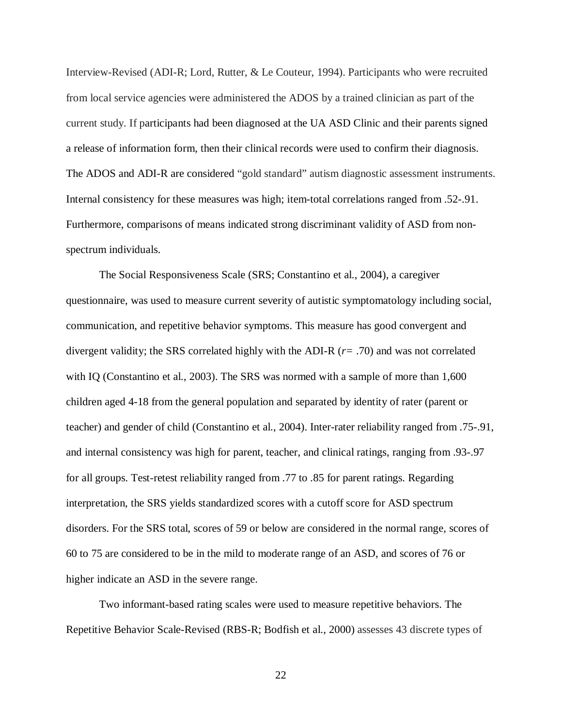Interview-Revised (ADI-R; Lord, Rutter, & Le Couteur, 1994). Participants who were recruited from local service agencies were administered the ADOS by a trained clinician as part of the current study. If participants had been diagnosed at the UA ASD Clinic and their parents signed a release of information form, then their clinical records were used to confirm their diagnosis. The ADOS and ADI-R are considered "gold standard" autism diagnostic assessment instruments. Internal consistency for these measures was high; item-total correlations ranged from .52-.91. Furthermore, comparisons of means indicated strong discriminant validity of ASD from nonspectrum individuals.

The Social Responsiveness Scale (SRS; Constantino et al., 2004), a caregiver questionnaire, was used to measure current severity of autistic symptomatology including social, communication, and repetitive behavior symptoms. This measure has good convergent and divergent validity; the SRS correlated highly with the ADI-R (*r=* .70) and was not correlated with IQ (Constantino et al., 2003). The SRS was normed with a sample of more than 1,600 children aged 4-18 from the general population and separated by identity of rater (parent or teacher) and gender of child (Constantino et al., 2004). Inter-rater reliability ranged from .75-.91, and internal consistency was high for parent, teacher, and clinical ratings, ranging from .93-.97 for all groups. Test-retest reliability ranged from .77 to .85 for parent ratings. Regarding interpretation, the SRS yields standardized scores with a cutoff score for ASD spectrum disorders. For the SRS total, scores of 59 or below are considered in the normal range, scores of 60 to 75 are considered to be in the mild to moderate range of an ASD, and scores of 76 or higher indicate an ASD in the severe range.

Two informant-based rating scales were used to measure repetitive behaviors. The Repetitive Behavior Scale-Revised (RBS-R; Bodfish et al., 2000) assesses 43 discrete types of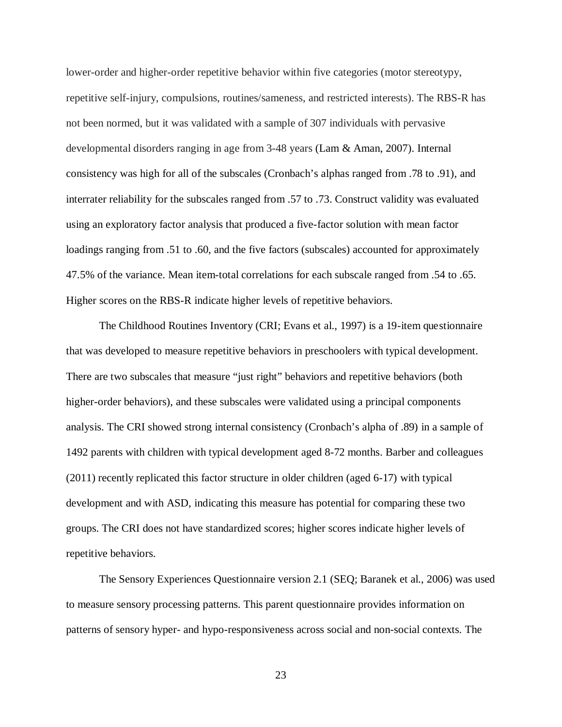lower-order and higher-order repetitive behavior within five categories (motor stereotypy, repetitive self-injury, compulsions, routines/sameness, and restricted interests). The RBS-R has not been normed, but it was validated with a sample of 307 individuals with pervasive developmental disorders ranging in age from 3-48 years (Lam & Aman, 2007). Internal consistency was high for all of the subscales (Cronbach's alphas ranged from .78 to .91), and interrater reliability for the subscales ranged from .57 to .73. Construct validity was evaluated using an exploratory factor analysis that produced a five-factor solution with mean factor loadings ranging from .51 to .60, and the five factors (subscales) accounted for approximately 47.5% of the variance. Mean item-total correlations for each subscale ranged from .54 to .65. Higher scores on the RBS-R indicate higher levels of repetitive behaviors.

The Childhood Routines Inventory (CRI; Evans et al., 1997) is a 19-item questionnaire that was developed to measure repetitive behaviors in preschoolers with typical development. There are two subscales that measure "just right" behaviors and repetitive behaviors (both higher-order behaviors), and these subscales were validated using a principal components analysis. The CRI showed strong internal consistency (Cronbach's alpha of .89) in a sample of 1492 parents with children with typical development aged 8-72 months. Barber and colleagues (2011) recently replicated this factor structure in older children (aged 6-17) with typical development and with ASD, indicating this measure has potential for comparing these two groups. The CRI does not have standardized scores; higher scores indicate higher levels of repetitive behaviors.

The Sensory Experiences Questionnaire version 2.1 (SEQ; Baranek et al., 2006) was used to measure sensory processing patterns. This parent questionnaire provides information on patterns of sensory hyper- and hypo-responsiveness across social and non-social contexts. The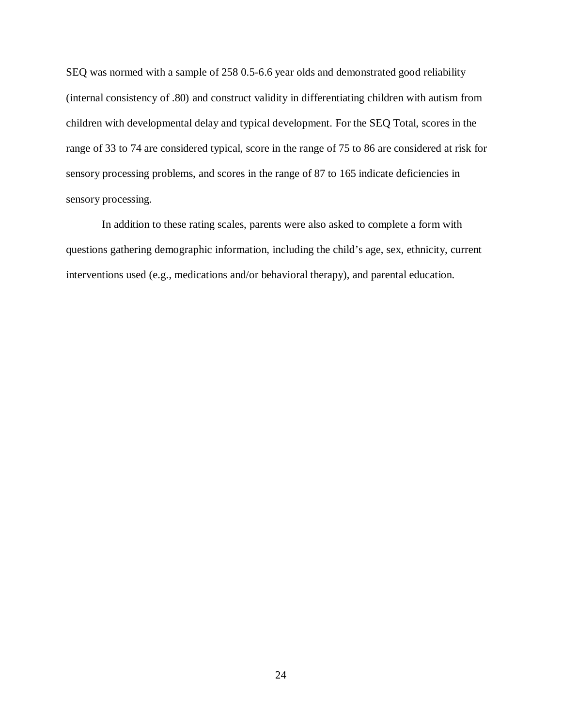SEQ was normed with a sample of 258 0.5-6.6 year olds and demonstrated good reliability (internal consistency of .80) and construct validity in differentiating children with autism from children with developmental delay and typical development. For the SEQ Total, scores in the range of 33 to 74 are considered typical, score in the range of 75 to 86 are considered at risk for sensory processing problems, and scores in the range of 87 to 165 indicate deficiencies in sensory processing.

In addition to these rating scales, parents were also asked to complete a form with questions gathering demographic information, including the child's age, sex, ethnicity, current interventions used (e.g., medications and/or behavioral therapy), and parental education.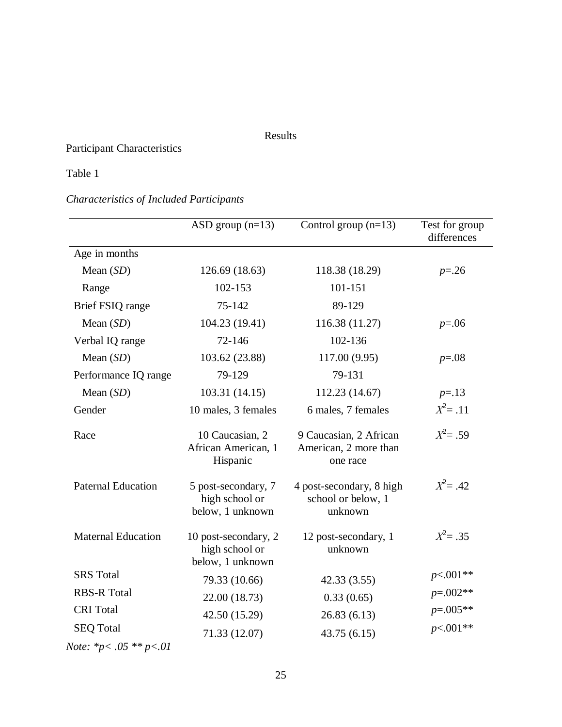# Results

# Participant Characteristics

# Table 1

# *Characteristics of Included Participants*

|                           | ASD group $(n=13)$                                         | Control group $(n=13)$                                      | Test for group<br>differences |
|---------------------------|------------------------------------------------------------|-------------------------------------------------------------|-------------------------------|
| Age in months             |                                                            |                                                             |                               |
| Mean $(SD)$               | 126.69 (18.63)                                             | 118.38 (18.29)                                              | $p = 0.26$                    |
| Range                     | 102-153                                                    | 101-151                                                     |                               |
| Brief FSIQ range          | 75-142                                                     | 89-129                                                      |                               |
| Mean $(SD)$               | 104.23 (19.41)                                             | 116.38 (11.27)                                              | $p=.06$                       |
| Verbal IQ range           | 72-146                                                     | 102-136                                                     |                               |
| Mean $(SD)$               | 103.62 (23.88)                                             | 117.00 (9.95)                                               | $p=.08$                       |
| Performance IQ range      | 79-129                                                     | 79-131                                                      |                               |
| Mean $(SD)$               | 103.31 (14.15)                                             | 112.23 (14.67)                                              | $p = 13$                      |
| Gender                    | 10 males, 3 females                                        | 6 males, 7 females                                          | $X^2 = .11$                   |
| Race                      | 10 Caucasian, 2<br>African American, 1<br>Hispanic         | 9 Caucasian, 2 African<br>American, 2 more than<br>one race | $X^2 = .59$                   |
| <b>Paternal Education</b> | 5 post-secondary, 7<br>high school or<br>below, 1 unknown  | 4 post-secondary, 8 high<br>school or below, 1<br>unknown   | $X^2 = .42$                   |
| <b>Maternal Education</b> | 10 post-secondary, 2<br>high school or<br>below, 1 unknown | 12 post-secondary, 1<br>unknown                             | $X^2 = .35$                   |
| <b>SRS</b> Total          | 79.33 (10.66)                                              | 42.33(3.55)                                                 | $p<.001**$                    |
| <b>RBS-R Total</b>        | 22.00 (18.73)                                              | 0.33(0.65)                                                  | $p=.002**$                    |
| <b>CRI</b> Total          | 42.50 (15.29)                                              | 26.83(6.13)                                                 | $p=.005**$                    |
| <b>SEQ Total</b>          | 71.33 (12.07)                                              | 43.75(6.15)                                                 | $p<.001**$                    |

*Note: \*p< .05 \*\* p<.01*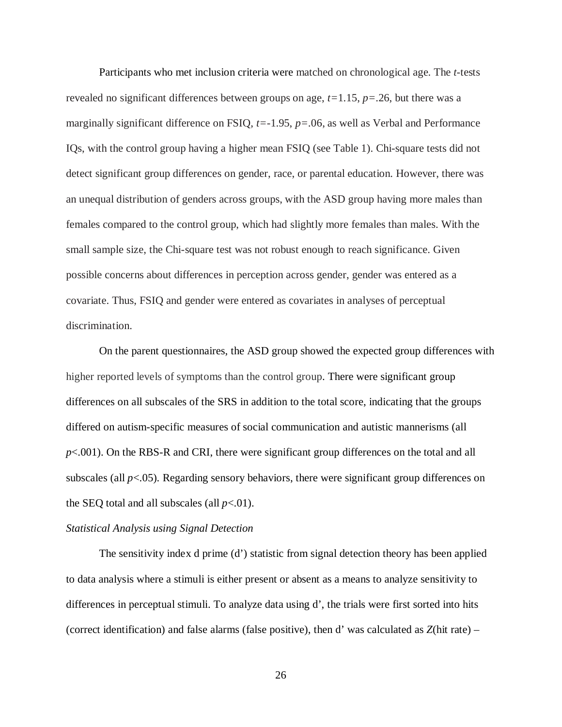Participants who met inclusion criteria were matched on chronological age. The *t-*tests revealed no significant differences between groups on age, *t=*1.15, *p=*.26, but there was a marginally significant difference on FSIQ, *t=*-1.95, *p=*.06, as well as Verbal and Performance IQs, with the control group having a higher mean FSIQ (see Table 1). Chi-square tests did not detect significant group differences on gender, race, or parental education. However, there was an unequal distribution of genders across groups, with the ASD group having more males than females compared to the control group, which had slightly more females than males. With the small sample size, the Chi-square test was not robust enough to reach significance. Given possible concerns about differences in perception across gender, gender was entered as a covariate. Thus, FSIQ and gender were entered as covariates in analyses of perceptual discrimination.

On the parent questionnaires, the ASD group showed the expected group differences with higher reported levels of symptoms than the control group. There were significant group differences on all subscales of the SRS in addition to the total score, indicating that the groups differed on autism-specific measures of social communication and autistic mannerisms (all *p*<.001). On the RBS-R and CRI, there were significant group differences on the total and all subscales (all *p*<.05)*.* Regarding sensory behaviors, there were significant group differences on the SEQ total and all subscales (all  $p<.01$ ).

#### *Statistical Analysis using Signal Detection*

The sensitivity index d prime (d') statistic from signal detection theory has been applied to data analysis where a stimuli is either present or absent as a means to analyze sensitivity to differences in perceptual stimuli. To analyze data using d', the trials were first sorted into hits (correct identification) and false alarms (false positive), then d' was calculated as *Z*(hit rate) –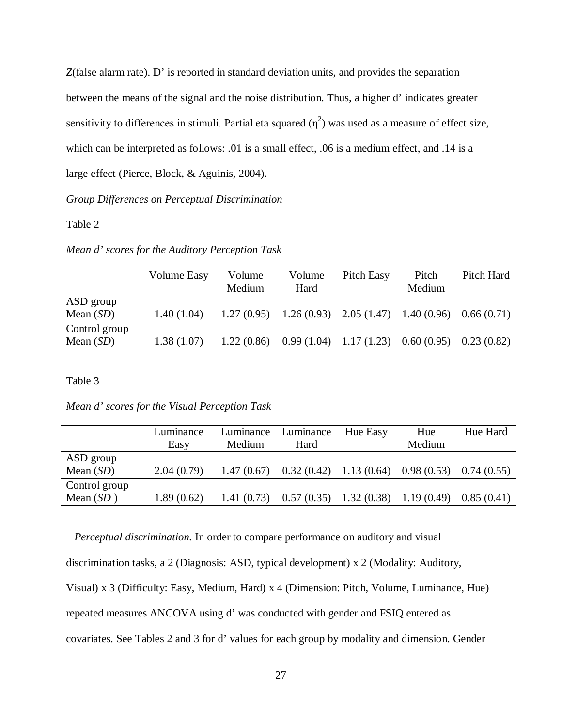*Z*(false alarm rate). D' is reported in standard deviation units, and provides the separation between the means of the signal and the noise distribution. Thus, a higher d' indicates greater sensitivity to differences in stimuli. Partial eta squared  $(\eta^2)$  was used as a measure of effect size, which can be interpreted as follows: .01 is a small effect, .06 is a medium effect, and .14 is a large effect (Pierce, Block, & Aguinis, 2004).

*Group Differences on Perceptual Discrimination*

## Table 2

| Pitch                                   | Pitch Hard |
|-----------------------------------------|------------|
| Medium                                  |            |
|                                         |            |
| $1.26(0.93)$ $2.05(1.47)$<br>1.40(0.96) | 0.66(0.71) |
|                                         |            |
| 0.60(0.95)                              | 0.23(0.82) |
|                                         |            |

Table 3

*Mean d' scores for the Visual Perception Task*

|               | Luminance  | Luminance  | Luminance                            | Hue Easy | Hue                      | Hue Hard   |
|---------------|------------|------------|--------------------------------------|----------|--------------------------|------------|
|               | Easy       | Medium     | Hard                                 |          | Medium                   |            |
| ASD group     |            |            |                                      |          |                          |            |
| Mean $(SD)$   | 2.04(0.79) | 1.47(0.67) | $0.32(0.42)$ 1.13 (0.64)             |          | $0.98(0.53)$ 0.74 (0.55) |            |
| Control group |            |            |                                      |          |                          |            |
| Mean $(SD)$   | 1.89(0.62) | 1.41(0.73) | $0.57(0.35)$ 1.32 (0.38) 1.19 (0.49) |          |                          | 0.85(0.41) |

*Perceptual discrimination.* In order to compare performance on auditory and visual

discrimination tasks, a 2 (Diagnosis: ASD, typical development) x 2 (Modality: Auditory,

Visual) x 3 (Difficulty: Easy, Medium, Hard) x 4 (Dimension: Pitch, Volume, Luminance, Hue)

repeated measures ANCOVA using d' was conducted with gender and FSIQ entered as

covariates. See Tables 2 and 3 for d' values for each group by modality and dimension. Gender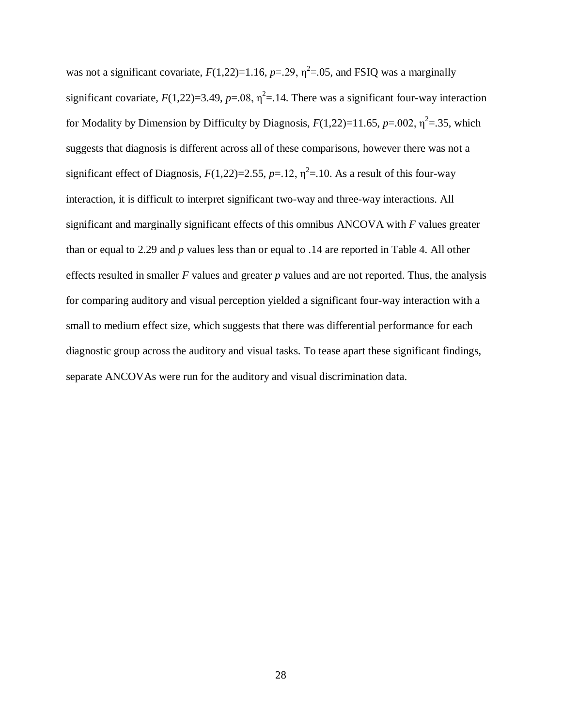was not a significant covariate,  $F(1,22)=1.16$ ,  $p=.29$ ,  $\eta^2=.05$ , and FSIQ was a marginally significant covariate,  $F(1,22)=3.49$ ,  $p=.08$ ,  $\eta^2=.14$ . There was a significant four-way interaction for Modality by Dimension by Difficulty by Diagnosis,  $F(1,22)=11.65$ ,  $p=.002$ ,  $\eta^2=.35$ , which suggests that diagnosis is different across all of these comparisons, however there was not a significant effect of Diagnosis,  $F(1,22)=2.55$ ,  $p=.12$ ,  $\eta^2=.10$ . As a result of this four-way interaction, it is difficult to interpret significant two-way and three-way interactions. All significant and marginally significant effects of this omnibus ANCOVA with *F* values greater than or equal to 2.29 and *p* values less than or equal to .14 are reported in Table 4. All other effects resulted in smaller *F* values and greater *p* values and are not reported. Thus, the analysis for comparing auditory and visual perception yielded a significant four-way interaction with a small to medium effect size, which suggests that there was differential performance for each diagnostic group across the auditory and visual tasks. To tease apart these significant findings, separate ANCOVAs were run for the auditory and visual discrimination data.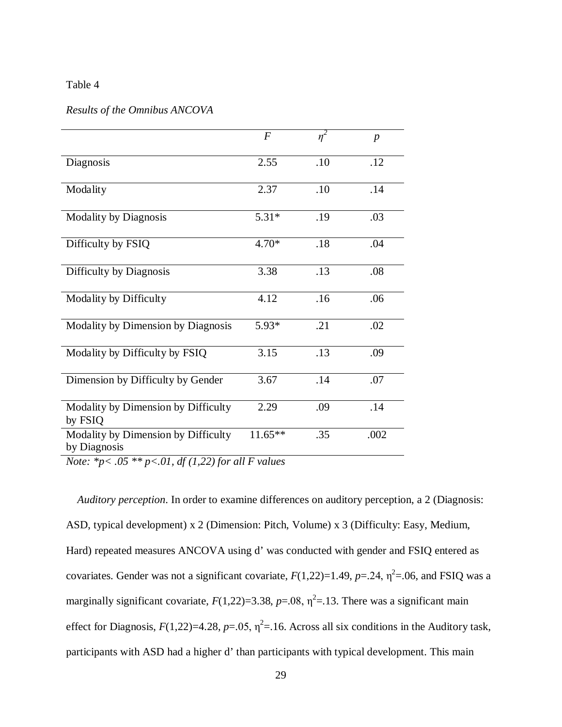### Table 4

# *Results of the Omnibus ANCOVA*

|                                                                    | $\boldsymbol{F}$ | $\eta^2$ | $\boldsymbol{p}$ |
|--------------------------------------------------------------------|------------------|----------|------------------|
| Diagnosis                                                          | 2.55             | .10      | .12              |
| Modality                                                           | 2.37             | .10      | .14              |
| <b>Modality by Diagnosis</b>                                       | $5.31*$          | .19      | .03              |
| Difficulty by FSIQ                                                 | $4.70*$          | .18      | .04              |
| Difficulty by Diagnosis                                            | 3.38             | .13      | .08              |
| Modality by Difficulty                                             | 4.12             | .16      | .06              |
| Modality by Dimension by Diagnosis                                 | 5.93*            | .21      | .02              |
| Modality by Difficulty by FSIQ                                     | 3.15             | .13      | .09              |
| Dimension by Difficulty by Gender                                  | 3.67             | .14      | .07              |
| Modality by Dimension by Difficulty<br>by FSIQ                     | 2.29             | .09      | .14              |
| Modality by Dimension by Difficulty<br>by Diagnosis<br>01.10110010 | $11.65**$        | .35      | .002             |

*Note: \*p< .05 \*\* p<.01, df (1,22) for all F values*

 *Auditory perception*. In order to examine differences on auditory perception, a 2 (Diagnosis: ASD, typical development) x 2 (Dimension: Pitch, Volume) x 3 (Difficulty: Easy, Medium, Hard) repeated measures ANCOVA using d' was conducted with gender and FSIQ entered as covariates. Gender was not a significant covariate,  $F(1,22)=1.49$ ,  $p=.24$ ,  $\eta^2=.06$ , and FSIQ was a marginally significant covariate,  $F(1,22)=3.38$ ,  $p=.08$ ,  $\eta^2=.13$ . There was a significant main effect for Diagnosis,  $F(1,22)=4.28$ ,  $p=.05$ ,  $\eta^2=.16$ . Across all six conditions in the Auditory task, participants with ASD had a higher d' than participants with typical development. This main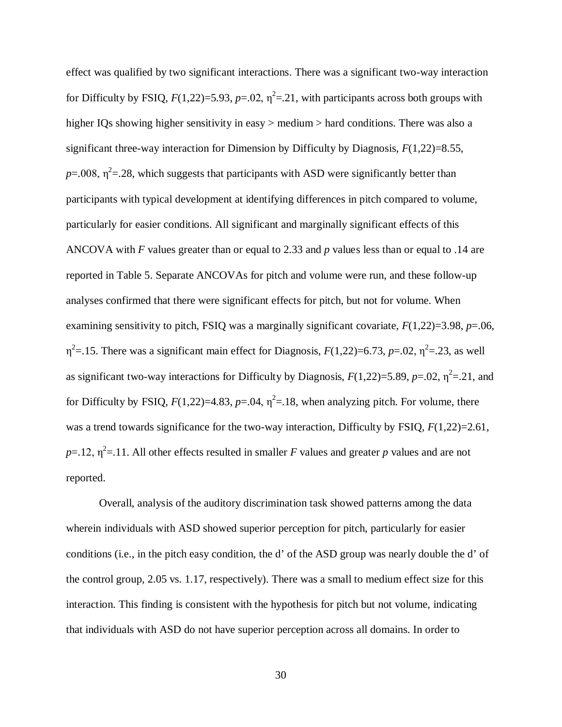effect was qualified by two significant interactions. There was a significant two-way interaction for Difficulty by FSIQ,  $F(1,22)=5.93$ ,  $p=.02$ ,  $\eta^2=.21$ , with participants across both groups with higher IQs showing higher sensitivity in easy  $>$  medium  $>$  hard conditions. There was also a significant three-way interaction for Dimension by Difficulty by Diagnosis, *F*(1,22)=8.55,  $p=0.008$ ,  $\eta^2=28$ , which suggests that participants with ASD were significantly better than participants with typical development at identifying differences in pitch compared to volume, particularly for easier conditions. All significant and marginally significant effects of this ANCOVA with *F* values greater than or equal to 2.33 and *p* values less than or equal to .14 are reported in Table 5. Separate ANCOVAs for pitch and volume were run, and these follow-up analyses confirmed that there were significant effects for pitch, but not for volume. When examining sensitivity to pitch, FSIQ was a marginally significant covariate, *F*(1,22)=3.98, *p*=.06,  $\eta^2$ =.15. There was a significant main effect for Diagnosis,  $F(1,22)$ =6.73,  $p$ =.02,  $\eta^2$ =.23, as well as significant two-way interactions for Difficulty by Diagnosis,  $F(1,22)=5.89$ ,  $p=.02$ ,  $\eta^2=.21$ , and for Difficulty by FSIQ,  $F(1,22)=4.83$ ,  $p=.04$ ,  $\eta^2=.18$ , when analyzing pitch. For volume, there was a trend towards significance for the two-way interaction, Difficulty by FSIQ,  $F(1,22)=2.61$ ,  $p=12$ ,  $\eta^2=11$ . All other effects resulted in smaller *F* values and greater *p* values and are not reported.

Overall, analysis of the auditory discrimination task showed patterns among the data wherein individuals with ASD showed superior perception for pitch, particularly for easier conditions (i.e., in the pitch easy condition, the d' of the ASD group was nearly double the d' of the control group, 2.05 vs. 1.17, respectively). There was a small to medium effect size for this interaction. This finding is consistent with the hypothesis for pitch but not volume, indicating that individuals with ASD do not have superior perception across all domains. In order to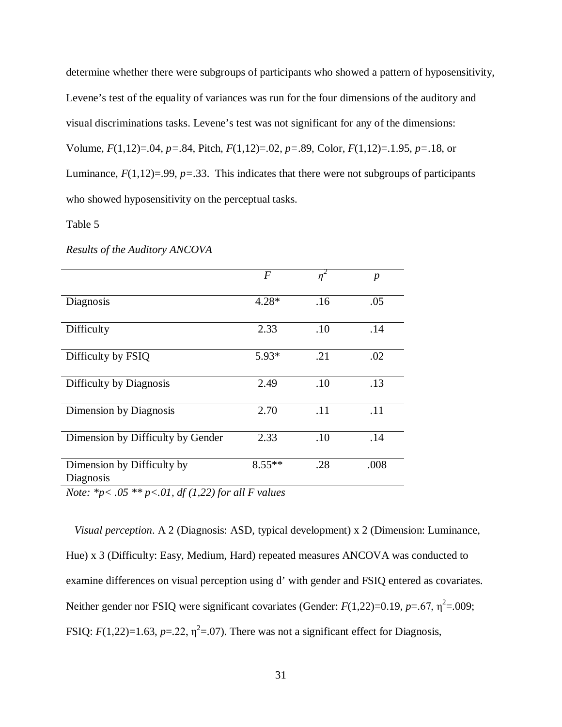determine whether there were subgroups of participants who showed a pattern of hyposensitivity, Levene's test of the equality of variances was run for the four dimensions of the auditory and visual discriminations tasks. Levene's test was not significant for any of the dimensions: Volume, *F*(1,12)=.04, *p=*.84, Pitch, *F*(1,12)=.02, *p=*.89, Color, *F*(1,12)=.1.95, *p=*.18, or Luminance,  $F(1,12)=0.99$ ,  $p=.33$ . This indicates that there were not subgroups of participants who showed hyposensitivity on the perceptual tasks.

## Table 5

*Results of the Auditory ANCOVA* 

|                                         | F        | $\eta^2$ | $\boldsymbol{p}$ |
|-----------------------------------------|----------|----------|------------------|
| Diagnosis                               | $4.28*$  | .16      | .05              |
| Difficulty                              | 2.33     | .10      | .14              |
| Difficulty by FSIQ                      | $5.93*$  | .21      | .02              |
| Difficulty by Diagnosis                 | 2.49     | .10      | .13              |
| Dimension by Diagnosis                  | 2.70     | .11      | .11              |
| Dimension by Difficulty by Gender       | 2.33     | .10      | .14              |
| Dimension by Difficulty by<br>Diagnosis | $8.55**$ | .28      | .008             |

*Note: \*p< .05 \*\* p<.01, df (1,22) for all F values*

 *Visual perception*. A 2 (Diagnosis: ASD, typical development) x 2 (Dimension: Luminance, Hue) x 3 (Difficulty: Easy, Medium, Hard) repeated measures ANCOVA was conducted to examine differences on visual perception using d' with gender and FSIQ entered as covariates. Neither gender nor FSIQ were significant covariates (Gender:  $F(1,22)=0.19$ ,  $p=.67$ ,  $\eta^2=.009$ ; FSIQ:  $F(1,22)=1.63$ ,  $p=.22$ ,  $\eta^2=.07$ ). There was not a significant effect for Diagnosis,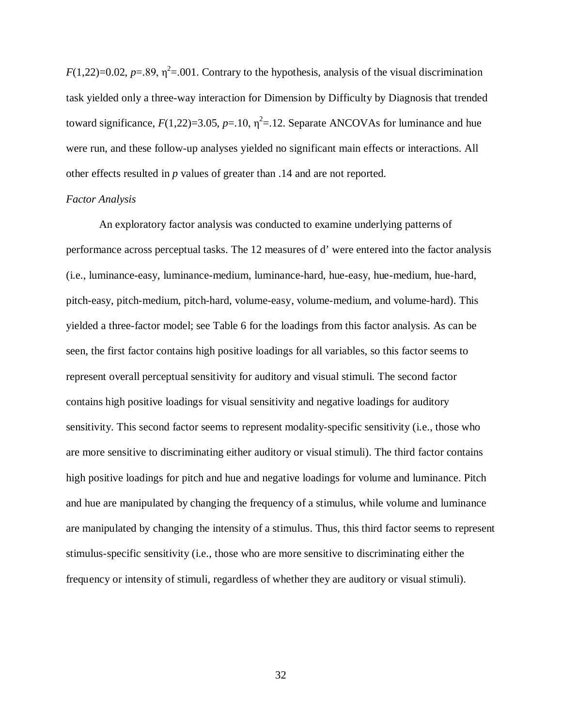$F(1,22)=0.02$ ,  $p=.89$ ,  $\eta^2=.001$ . Contrary to the hypothesis, analysis of the visual discrimination task yielded only a three-way interaction for Dimension by Difficulty by Diagnosis that trended toward significance,  $F(1,22)=3.05$ ,  $p=.10$ ,  $\eta^2=.12$ . Separate ANCOVAs for luminance and hue were run, and these follow-up analyses yielded no significant main effects or interactions. All other effects resulted in *p* values of greater than .14 and are not reported.

### *Factor Analysis*

An exploratory factor analysis was conducted to examine underlying patterns of performance across perceptual tasks. The 12 measures of d' were entered into the factor analysis (i.e., luminance-easy, luminance-medium, luminance-hard, hue-easy, hue-medium, hue-hard, pitch-easy, pitch-medium, pitch-hard, volume-easy, volume-medium, and volume-hard). This yielded a three-factor model; see Table 6 for the loadings from this factor analysis. As can be seen, the first factor contains high positive loadings for all variables, so this factor seems to represent overall perceptual sensitivity for auditory and visual stimuli. The second factor contains high positive loadings for visual sensitivity and negative loadings for auditory sensitivity. This second factor seems to represent modality-specific sensitivity (i.e., those who are more sensitive to discriminating either auditory or visual stimuli). The third factor contains high positive loadings for pitch and hue and negative loadings for volume and luminance. Pitch and hue are manipulated by changing the frequency of a stimulus, while volume and luminance are manipulated by changing the intensity of a stimulus. Thus, this third factor seems to represent stimulus-specific sensitivity (i.e., those who are more sensitive to discriminating either the frequency or intensity of stimuli, regardless of whether they are auditory or visual stimuli).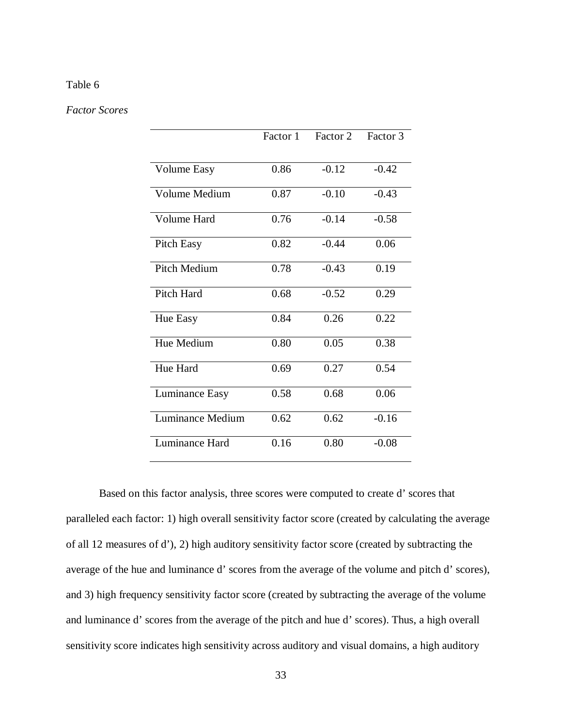## Table 6

### *Factor Scores*

|                    | Factor 1 | Factor <sub>2</sub> | Factor 3 |
|--------------------|----------|---------------------|----------|
| <b>Volume Easy</b> | 0.86     | $-0.12$             | $-0.42$  |
| Volume Medium      | 0.87     | $-0.10$             | $-0.43$  |
| Volume Hard        | 0.76     | $-0.14$             | $-0.58$  |
| <b>Pitch Easy</b>  | 0.82     | $-0.44$             | 0.06     |
| Pitch Medium       | 0.78     | $-0.43$             | 0.19     |
| <b>Pitch Hard</b>  | 0.68     | $-0.52$             | 0.29     |
| Hue Easy           | 0.84     | 0.26                | 0.22     |
| Hue Medium         | 0.80     | 0.05                | 0.38     |
| Hue Hard           | 0.69     | 0.27                | 0.54     |
| Luminance Easy     | 0.58     | 0.68                | 0.06     |
| Luminance Medium   | 0.62     | 0.62                | $-0.16$  |
| Luminance Hard     | 0.16     | 0.80                | $-0.08$  |

Based on this factor analysis, three scores were computed to create d' scores that paralleled each factor: 1) high overall sensitivity factor score (created by calculating the average of all 12 measures of d'), 2) high auditory sensitivity factor score (created by subtracting the average of the hue and luminance d' scores from the average of the volume and pitch d' scores), and 3) high frequency sensitivity factor score (created by subtracting the average of the volume and luminance d' scores from the average of the pitch and hue d' scores). Thus, a high overall sensitivity score indicates high sensitivity across auditory and visual domains, a high auditory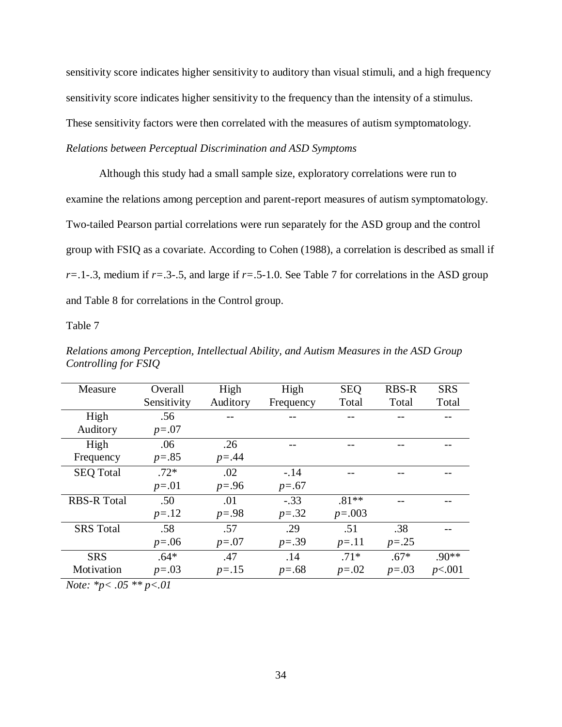sensitivity score indicates higher sensitivity to auditory than visual stimuli, and a high frequency sensitivity score indicates higher sensitivity to the frequency than the intensity of a stimulus. These sensitivity factors were then correlated with the measures of autism symptomatology. *Relations between Perceptual Discrimination and ASD Symptoms*

Although this study had a small sample size, exploratory correlations were run to examine the relations among perception and parent-report measures of autism symptomatology. Two-tailed Pearson partial correlations were run separately for the ASD group and the control group with FSIQ as a covariate. According to Cohen (1988), a correlation is described as small if *r=*.1-.3, medium if *r=*.3-.5, and large if *r=*.5-1.0. See Table 7 for correlations in the ASD group and Table 8 for correlations in the Control group.

Table 7

| Measure                                                                                                              | Overall     | High      | High      | <b>SEO</b> | <b>RBS-R</b> | <b>SRS</b> |
|----------------------------------------------------------------------------------------------------------------------|-------------|-----------|-----------|------------|--------------|------------|
|                                                                                                                      | Sensitivity | Auditory  | Frequency | Total      | Total        | Total      |
| High                                                                                                                 | .56         |           |           |            |              |            |
| Auditory                                                                                                             | $p = .07$   |           |           |            |              |            |
| High                                                                                                                 | .06         | .26       |           |            |              |            |
| Frequency                                                                                                            | $p=.85$     | $p = .44$ |           |            |              |            |
| <b>SEQ Total</b>                                                                                                     | $.72*$      | .02       | $-.14$    |            |              |            |
|                                                                                                                      | $p = .01$   | $p = .96$ | $p=.67$   |            |              |            |
| <b>RBS-R Total</b>                                                                                                   | .50         | .01       | $-.33$    | $.81**$    |              |            |
|                                                                                                                      | $p = .12$   | $p = .98$ | $p=.32$   | $p=.003$   |              |            |
| <b>SRS</b> Total                                                                                                     | .58         | .57       | .29       | $-51$      | .38          |            |
|                                                                                                                      | $p = .06$   | $p=.07$   | $p=.39$   | $p = .11$  | $p=.25$      |            |
| <b>SRS</b>                                                                                                           | $.64*$      | .47       | .14       | $.71*$     | $.67*$       | $.90**$    |
| Motivation                                                                                                           | $p=.03$     | $p = .15$ | $p=.68$   | $p=.02$    | $p=.03$      | p<.001     |
| $\mathbf{M}$ $\mathbf{L}$ $\mathbf{L}$ $\mathbf{L}$ $\mathbf{L}$ $\mathbf{L}$ $\mathbf{L}$ $\mathbf{L}$ $\mathbf{L}$ | $\sqrt{1}$  |           |           |            |              |            |

*Relations among Perception, Intellectual Ability, and Autism Measures in the ASD Group Controlling for FSIQ*

*Note: \*p< .05 \*\* p<.01*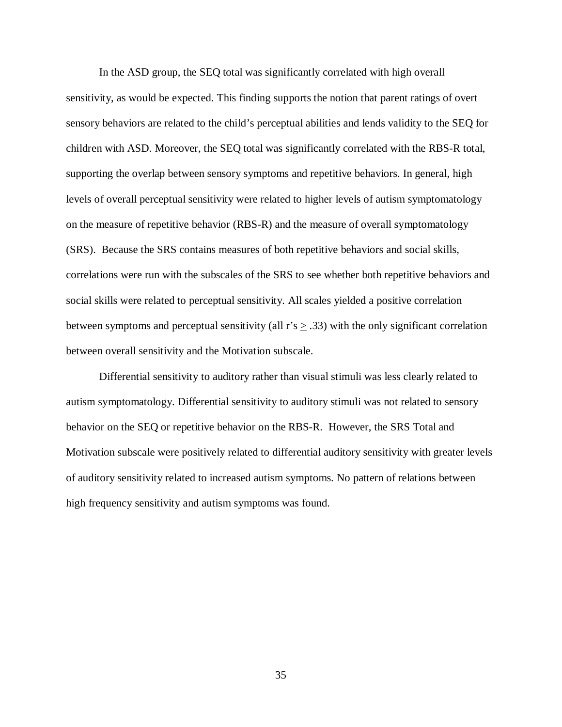In the ASD group, the SEQ total was significantly correlated with high overall sensitivity, as would be expected. This finding supports the notion that parent ratings of overt sensory behaviors are related to the child's perceptual abilities and lends validity to the SEQ for children with ASD. Moreover, the SEQ total was significantly correlated with the RBS-R total, supporting the overlap between sensory symptoms and repetitive behaviors. In general, high levels of overall perceptual sensitivity were related to higher levels of autism symptomatology on the measure of repetitive behavior (RBS-R) and the measure of overall symptomatology (SRS). Because the SRS contains measures of both repetitive behaviors and social skills, correlations were run with the subscales of the SRS to see whether both repetitive behaviors and social skills were related to perceptual sensitivity. All scales yielded a positive correlation between symptoms and perceptual sensitivity (all  $r's \geq .33$ ) with the only significant correlation between overall sensitivity and the Motivation subscale.

Differential sensitivity to auditory rather than visual stimuli was less clearly related to autism symptomatology. Differential sensitivity to auditory stimuli was not related to sensory behavior on the SEQ or repetitive behavior on the RBS-R. However, the SRS Total and Motivation subscale were positively related to differential auditory sensitivity with greater levels of auditory sensitivity related to increased autism symptoms. No pattern of relations between high frequency sensitivity and autism symptoms was found.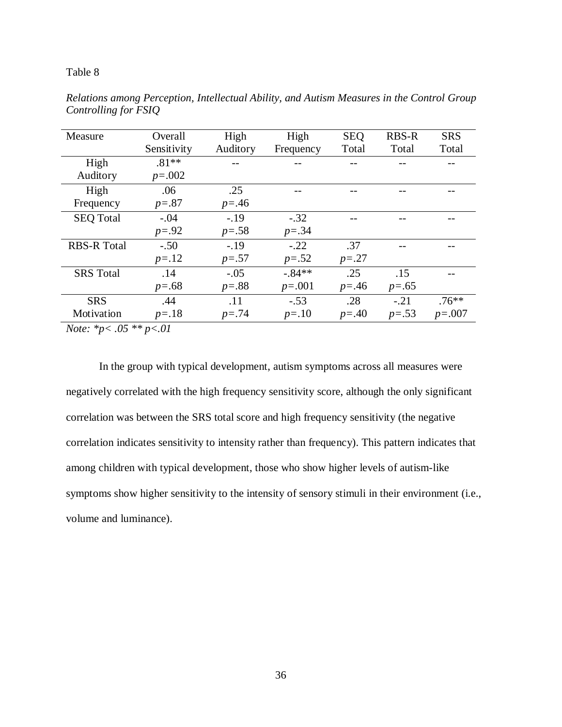### Table 8

| Measure                                                                                                                                                                                                                                                                                                                            | Overall     | High       | High      | <b>SEQ</b> | <b>RBS-R</b> | <b>SRS</b> |
|------------------------------------------------------------------------------------------------------------------------------------------------------------------------------------------------------------------------------------------------------------------------------------------------------------------------------------|-------------|------------|-----------|------------|--------------|------------|
|                                                                                                                                                                                                                                                                                                                                    | Sensitivity | Auditory   | Frequency | Total      | Total        | Total      |
| High                                                                                                                                                                                                                                                                                                                               | $.81**$     |            |           |            |              |            |
| Auditory                                                                                                                                                                                                                                                                                                                           | $p=.002$    |            |           |            |              |            |
| High                                                                                                                                                                                                                                                                                                                               | .06         | .25        |           |            |              |            |
| Frequency                                                                                                                                                                                                                                                                                                                          | $p=.87$     | $p = 0.46$ |           |            |              |            |
| <b>SEQ Total</b>                                                                                                                                                                                                                                                                                                                   | $-.04$      | $-.19$     | $-.32$    |            |              |            |
|                                                                                                                                                                                                                                                                                                                                    | $p = .92$   | $p=.58$    | $p = .34$ |            |              |            |
| <b>RBS-R Total</b>                                                                                                                                                                                                                                                                                                                 | $-.50$      | $-.19$     | $-.22$    | .37        |              |            |
|                                                                                                                                                                                                                                                                                                                                    | $p = .12$   | $p = .57$  | $p=.52$   | $p = .27$  |              |            |
| <b>SRS</b> Total                                                                                                                                                                                                                                                                                                                   | .14         | $-.05$     | $-.84**$  | .25        | .15          |            |
|                                                                                                                                                                                                                                                                                                                                    | $p=.68$     | $p=.88$    | $p=.001$  | $p = 0.46$ | $p=.65$      |            |
| <b>SRS</b>                                                                                                                                                                                                                                                                                                                         | .44         | .11        | $-.53$    | .28        | $-.21$       | $.76***$   |
| Motivation                                                                                                                                                                                                                                                                                                                         | $p = .18$   | $p = .74$  | $p = .10$ | $p = .40$  | $p=.53$      | $p=.007$   |
| $\mathbf{M}$ $\mathbf{L}$ $\mathbf{L}$ $\mathbf{L}$ $\mathbf{L}$ $\mathbf{L}$ $\mathbf{L}$ $\mathbf{L}$ $\mathbf{L}$ $\mathbf{L}$ $\mathbf{L}$ $\mathbf{L}$ $\mathbf{L}$ $\mathbf{L}$ $\mathbf{L}$ $\mathbf{L}$ $\mathbf{L}$ $\mathbf{L}$ $\mathbf{L}$ $\mathbf{L}$ $\mathbf{L}$ $\mathbf{L}$ $\mathbf{L}$ $\mathbf{L}$ $\mathbf{$ | $\sim$ 1    |            |           |            |              |            |

*Relations among Perception, Intellectual Ability, and Autism Measures in the Control Group Controlling for FSIQ*

*Note: \*p< .05 \*\* p<.01*

In the group with typical development, autism symptoms across all measures were negatively correlated with the high frequency sensitivity score, although the only significant correlation was between the SRS total score and high frequency sensitivity (the negative correlation indicates sensitivity to intensity rather than frequency). This pattern indicates that among children with typical development, those who show higher levels of autism-like symptoms show higher sensitivity to the intensity of sensory stimuli in their environment (i.e., volume and luminance).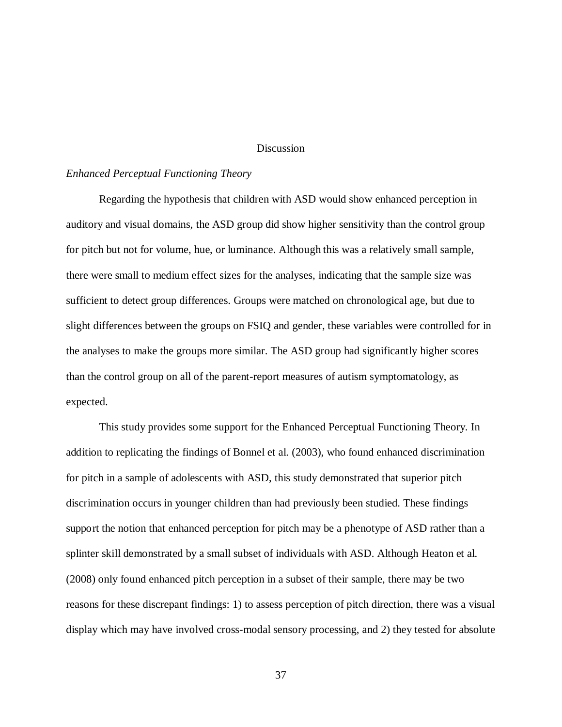### **Discussion**

### *Enhanced Perceptual Functioning Theory*

Regarding the hypothesis that children with ASD would show enhanced perception in auditory and visual domains, the ASD group did show higher sensitivity than the control group for pitch but not for volume, hue, or luminance. Although this was a relatively small sample, there were small to medium effect sizes for the analyses, indicating that the sample size was sufficient to detect group differences. Groups were matched on chronological age, but due to slight differences between the groups on FSIQ and gender, these variables were controlled for in the analyses to make the groups more similar. The ASD group had significantly higher scores than the control group on all of the parent-report measures of autism symptomatology, as expected.

This study provides some support for the Enhanced Perceptual Functioning Theory. In addition to replicating the findings of Bonnel et al. (2003), who found enhanced discrimination for pitch in a sample of adolescents with ASD, this study demonstrated that superior pitch discrimination occurs in younger children than had previously been studied. These findings support the notion that enhanced perception for pitch may be a phenotype of ASD rather than a splinter skill demonstrated by a small subset of individuals with ASD. Although Heaton et al. (2008) only found enhanced pitch perception in a subset of their sample, there may be two reasons for these discrepant findings: 1) to assess perception of pitch direction, there was a visual display which may have involved cross-modal sensory processing, and 2) they tested for absolute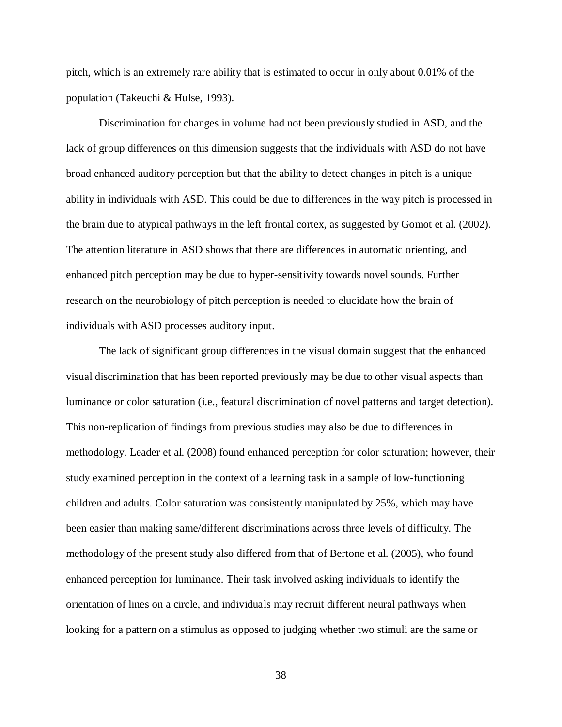pitch, which is an extremely rare ability that is estimated to occur in only about 0.01% of the population (Takeuchi & Hulse, 1993).

Discrimination for changes in volume had not been previously studied in ASD, and the lack of group differences on this dimension suggests that the individuals with ASD do not have broad enhanced auditory perception but that the ability to detect changes in pitch is a unique ability in individuals with ASD. This could be due to differences in the way pitch is processed in the brain due to atypical pathways in the left frontal cortex, as suggested by Gomot et al. (2002). The attention literature in ASD shows that there are differences in automatic orienting, and enhanced pitch perception may be due to hyper-sensitivity towards novel sounds. Further research on the neurobiology of pitch perception is needed to elucidate how the brain of individuals with ASD processes auditory input.

The lack of significant group differences in the visual domain suggest that the enhanced visual discrimination that has been reported previously may be due to other visual aspects than luminance or color saturation (i.e., featural discrimination of novel patterns and target detection). This non-replication of findings from previous studies may also be due to differences in methodology. Leader et al. (2008) found enhanced perception for color saturation; however, their study examined perception in the context of a learning task in a sample of low-functioning children and adults. Color saturation was consistently manipulated by 25%, which may have been easier than making same/different discriminations across three levels of difficulty. The methodology of the present study also differed from that of Bertone et al. (2005), who found enhanced perception for luminance. Their task involved asking individuals to identify the orientation of lines on a circle, and individuals may recruit different neural pathways when looking for a pattern on a stimulus as opposed to judging whether two stimuli are the same or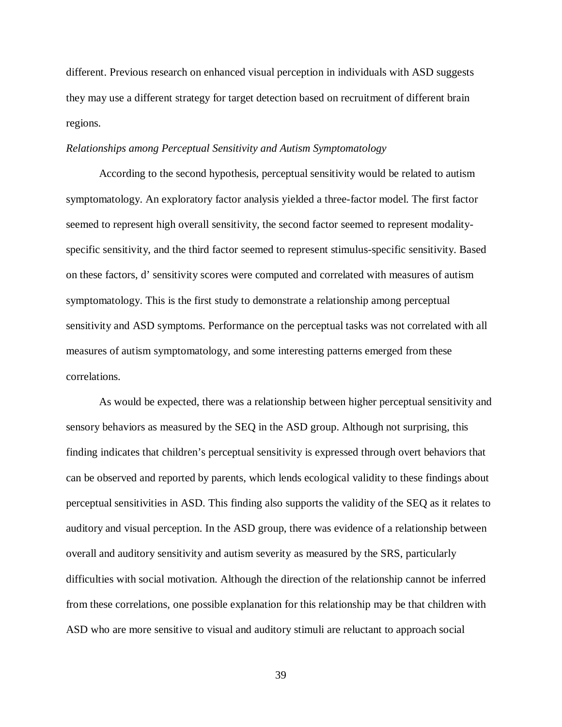different. Previous research on enhanced visual perception in individuals with ASD suggests they may use a different strategy for target detection based on recruitment of different brain regions.

### *Relationships among Perceptual Sensitivity and Autism Symptomatology*

According to the second hypothesis, perceptual sensitivity would be related to autism symptomatology. An exploratory factor analysis yielded a three-factor model. The first factor seemed to represent high overall sensitivity, the second factor seemed to represent modalityspecific sensitivity, and the third factor seemed to represent stimulus-specific sensitivity. Based on these factors, d' sensitivity scores were computed and correlated with measures of autism symptomatology. This is the first study to demonstrate a relationship among perceptual sensitivity and ASD symptoms. Performance on the perceptual tasks was not correlated with all measures of autism symptomatology, and some interesting patterns emerged from these correlations.

As would be expected, there was a relationship between higher perceptual sensitivity and sensory behaviors as measured by the SEQ in the ASD group. Although not surprising, this finding indicates that children's perceptual sensitivity is expressed through overt behaviors that can be observed and reported by parents, which lends ecological validity to these findings about perceptual sensitivities in ASD. This finding also supports the validity of the SEQ as it relates to auditory and visual perception. In the ASD group, there was evidence of a relationship between overall and auditory sensitivity and autism severity as measured by the SRS, particularly difficulties with social motivation. Although the direction of the relationship cannot be inferred from these correlations, one possible explanation for this relationship may be that children with ASD who are more sensitive to visual and auditory stimuli are reluctant to approach social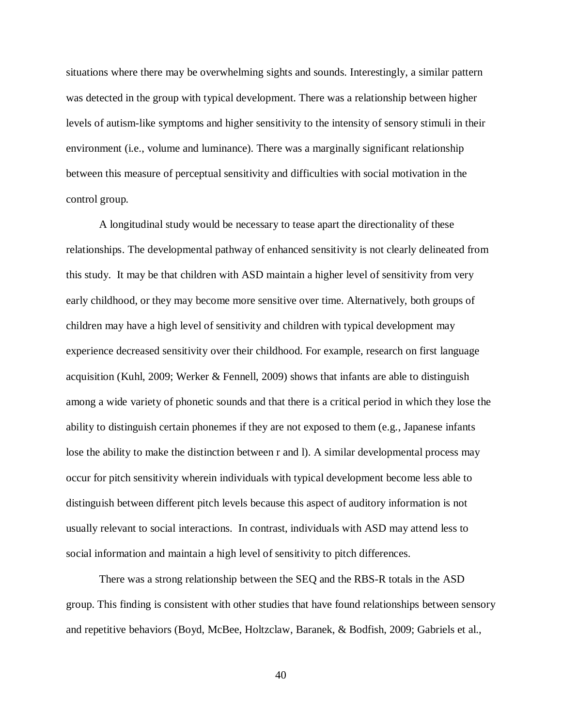situations where there may be overwhelming sights and sounds. Interestingly, a similar pattern was detected in the group with typical development. There was a relationship between higher levels of autism-like symptoms and higher sensitivity to the intensity of sensory stimuli in their environment (i.e., volume and luminance). There was a marginally significant relationship between this measure of perceptual sensitivity and difficulties with social motivation in the control group.

A longitudinal study would be necessary to tease apart the directionality of these relationships. The developmental pathway of enhanced sensitivity is not clearly delineated from this study. It may be that children with ASD maintain a higher level of sensitivity from very early childhood, or they may become more sensitive over time. Alternatively, both groups of children may have a high level of sensitivity and children with typical development may experience decreased sensitivity over their childhood. For example, research on first language acquisition (Kuhl, 2009; Werker & Fennell, 2009) shows that infants are able to distinguish among a wide variety of phonetic sounds and that there is a critical period in which they lose the ability to distinguish certain phonemes if they are not exposed to them (e.g., Japanese infants lose the ability to make the distinction between r and l). A similar developmental process may occur for pitch sensitivity wherein individuals with typical development become less able to distinguish between different pitch levels because this aspect of auditory information is not usually relevant to social interactions. In contrast, individuals with ASD may attend less to social information and maintain a high level of sensitivity to pitch differences.

There was a strong relationship between the SEQ and the RBS-R totals in the ASD group. This finding is consistent with other studies that have found relationships between sensory and repetitive behaviors (Boyd, McBee, Holtzclaw, Baranek, & Bodfish, 2009; Gabriels et al.,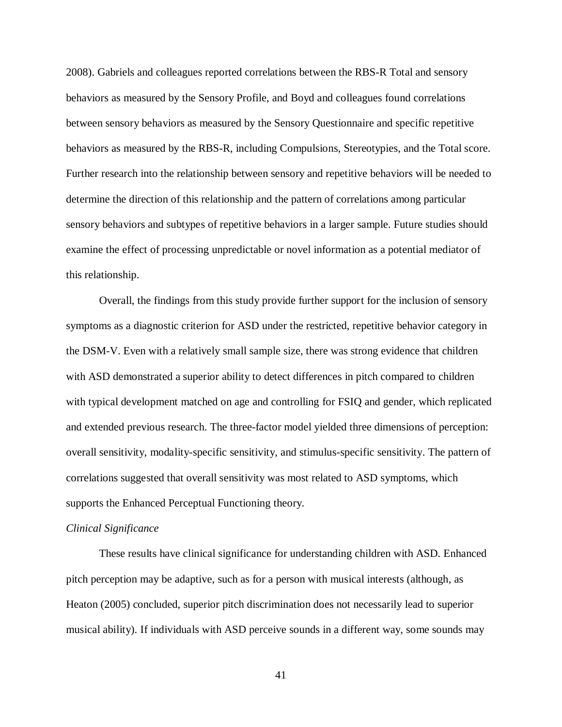2008). Gabriels and colleagues reported correlations between the RBS-R Total and sensory behaviors as measured by the Sensory Profile, and Boyd and colleagues found correlations between sensory behaviors as measured by the Sensory Questionnaire and specific repetitive behaviors as measured by the RBS-R, including Compulsions, Stereotypies, and the Total score. Further research into the relationship between sensory and repetitive behaviors will be needed to determine the direction of this relationship and the pattern of correlations among particular sensory behaviors and subtypes of repetitive behaviors in a larger sample. Future studies should examine the effect of processing unpredictable or novel information as a potential mediator of this relationship.

Overall, the findings from this study provide further support for the inclusion of sensory symptoms as a diagnostic criterion for ASD under the restricted, repetitive behavior category in the DSM-V. Even with a relatively small sample size, there was strong evidence that children with ASD demonstrated a superior ability to detect differences in pitch compared to children with typical development matched on age and controlling for FSIQ and gender, which replicated and extended previous research. The three-factor model yielded three dimensions of perception: overall sensitivity, modality-specific sensitivity, and stimulus-specific sensitivity. The pattern of correlations suggested that overall sensitivity was most related to ASD symptoms, which supports the Enhanced Perceptual Functioning theory.

## *Clinical Significance*

These results have clinical significance for understanding children with ASD. Enhanced pitch perception may be adaptive, such as for a person with musical interests (although, as Heaton (2005) concluded, superior pitch discrimination does not necessarily lead to superior musical ability). If individuals with ASD perceive sounds in a different way, some sounds may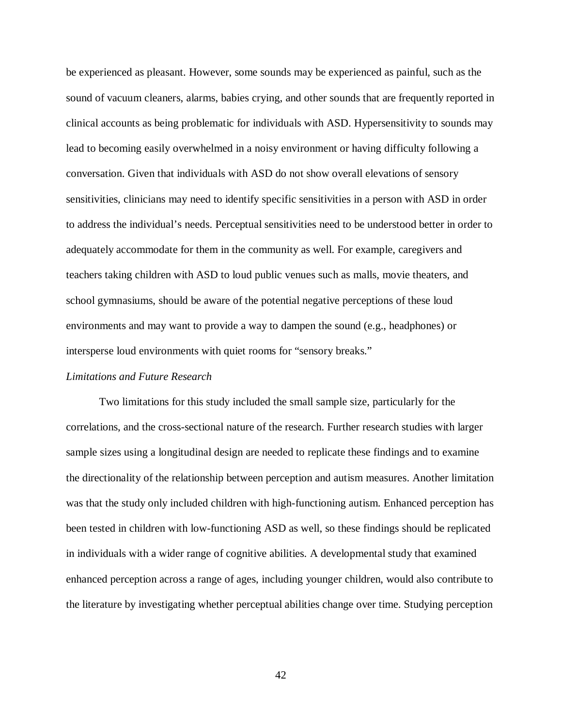be experienced as pleasant. However, some sounds may be experienced as painful, such as the sound of vacuum cleaners, alarms, babies crying, and other sounds that are frequently reported in clinical accounts as being problematic for individuals with ASD. Hypersensitivity to sounds may lead to becoming easily overwhelmed in a noisy environment or having difficulty following a conversation. Given that individuals with ASD do not show overall elevations of sensory sensitivities, clinicians may need to identify specific sensitivities in a person with ASD in order to address the individual's needs. Perceptual sensitivities need to be understood better in order to adequately accommodate for them in the community as well. For example, caregivers and teachers taking children with ASD to loud public venues such as malls, movie theaters, and school gymnasiums, should be aware of the potential negative perceptions of these loud environments and may want to provide a way to dampen the sound (e.g., headphones) or intersperse loud environments with quiet rooms for "sensory breaks."

### *Limitations and Future Research*

Two limitations for this study included the small sample size, particularly for the correlations, and the cross-sectional nature of the research. Further research studies with larger sample sizes using a longitudinal design are needed to replicate these findings and to examine the directionality of the relationship between perception and autism measures. Another limitation was that the study only included children with high-functioning autism. Enhanced perception has been tested in children with low-functioning ASD as well, so these findings should be replicated in individuals with a wider range of cognitive abilities. A developmental study that examined enhanced perception across a range of ages, including younger children, would also contribute to the literature by investigating whether perceptual abilities change over time. Studying perception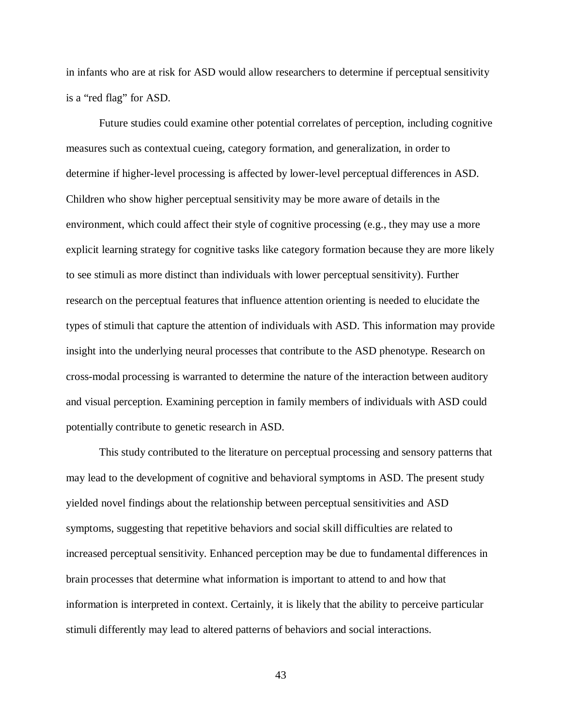in infants who are at risk for ASD would allow researchers to determine if perceptual sensitivity is a "red flag" for ASD.

Future studies could examine other potential correlates of perception, including cognitive measures such as contextual cueing, category formation, and generalization, in order to determine if higher-level processing is affected by lower-level perceptual differences in ASD. Children who show higher perceptual sensitivity may be more aware of details in the environment, which could affect their style of cognitive processing (e.g., they may use a more explicit learning strategy for cognitive tasks like category formation because they are more likely to see stimuli as more distinct than individuals with lower perceptual sensitivity). Further research on the perceptual features that influence attention orienting is needed to elucidate the types of stimuli that capture the attention of individuals with ASD. This information may provide insight into the underlying neural processes that contribute to the ASD phenotype. Research on cross-modal processing is warranted to determine the nature of the interaction between auditory and visual perception. Examining perception in family members of individuals with ASD could potentially contribute to genetic research in ASD.

This study contributed to the literature on perceptual processing and sensory patterns that may lead to the development of cognitive and behavioral symptoms in ASD. The present study yielded novel findings about the relationship between perceptual sensitivities and ASD symptoms, suggesting that repetitive behaviors and social skill difficulties are related to increased perceptual sensitivity. Enhanced perception may be due to fundamental differences in brain processes that determine what information is important to attend to and how that information is interpreted in context. Certainly, it is likely that the ability to perceive particular stimuli differently may lead to altered patterns of behaviors and social interactions.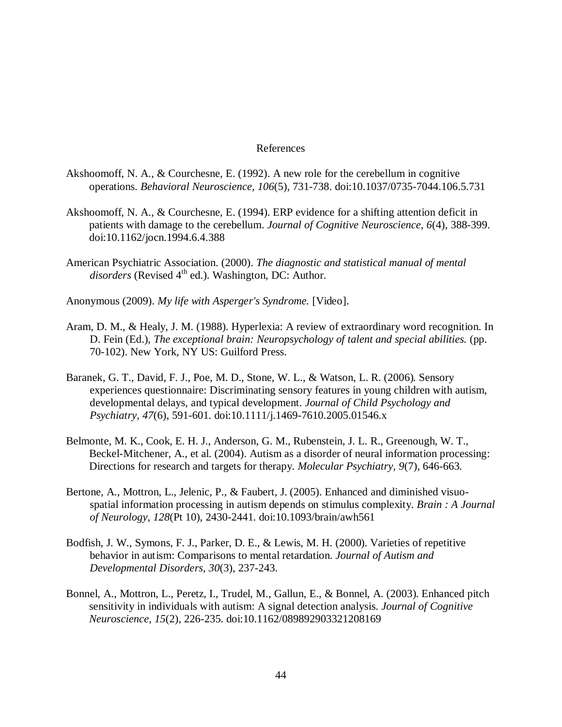### References

- Akshoomoff, N. A., & Courchesne, E. (1992). A new role for the cerebellum in cognitive operations. *Behavioral Neuroscience, 106*(5), 731-738. doi:10.1037/0735-7044.106.5.731
- Akshoomoff, N. A., & Courchesne, E. (1994). ERP evidence for a shifting attention deficit in patients with damage to the cerebellum. *Journal of Cognitive Neuroscience, 6*(4), 388-399. doi:10.1162/jocn.1994.6.4.388
- American Psychiatric Association. (2000). *The diagnostic and statistical manual of mental disorders* (Revised 4<sup>th</sup> ed.). Washington, DC: Author.

Anonymous (2009). *My life with Asperger's Syndrome.* [Video].

- Aram, D. M., & Healy, J. M. (1988). Hyperlexia: A review of extraordinary word recognition. In D. Fein (Ed.), *The exceptional brain: Neuropsychology of talent and special abilities.* (pp. 70-102). New York, NY US: Guilford Press.
- Baranek, G. T., David, F. J., Poe, M. D., Stone, W. L., & Watson, L. R. (2006). Sensory experiences questionnaire: Discriminating sensory features in young children with autism, developmental delays, and typical development. *Journal of Child Psychology and Psychiatry, 47*(6), 591-601. doi:10.1111/j.1469-7610.2005.01546.x
- Belmonte, M. K., Cook, E. H. J., Anderson, G. M., Rubenstein, J. L. R., Greenough, W. T., Beckel-Mitchener, A., et al. (2004). Autism as a disorder of neural information processing: Directions for research and targets for therapy. *Molecular Psychiatry, 9*(7), 646-663.
- Bertone, A., Mottron, L., Jelenic, P., & Faubert, J. (2005). Enhanced and diminished visuospatial information processing in autism depends on stimulus complexity. *Brain : A Journal of Neurology, 128*(Pt 10), 2430-2441. doi:10.1093/brain/awh561
- Bodfish, J. W., Symons, F. J., Parker, D. E., & Lewis, M. H. (2000). Varieties of repetitive behavior in autism: Comparisons to mental retardation. *Journal of Autism and Developmental Disorders, 30*(3), 237-243.
- Bonnel, A., Mottron, L., Peretz, I., Trudel, M., Gallun, E., & Bonnel, A. (2003). Enhanced pitch sensitivity in individuals with autism: A signal detection analysis. *Journal of Cognitive Neuroscience, 15*(2), 226-235. doi:10.1162/089892903321208169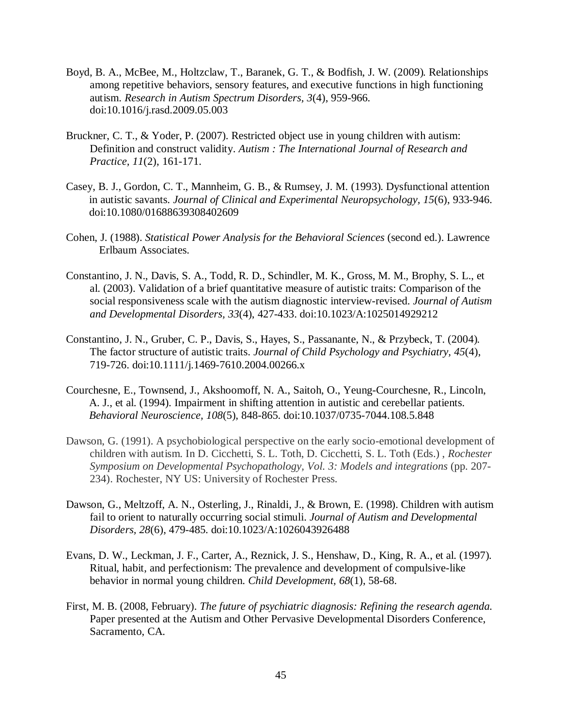- Boyd, B. A., McBee, M., Holtzclaw, T., Baranek, G. T., & Bodfish, J. W. (2009). Relationships among repetitive behaviors, sensory features, and executive functions in high functioning autism. *Research in Autism Spectrum Disorders, 3*(4), 959-966. doi:10.1016/j.rasd.2009.05.003
- Bruckner, C. T., & Yoder, P. (2007). Restricted object use in young children with autism: Definition and construct validity. *Autism : The International Journal of Research and Practice, 11*(2), 161-171.
- Casey, B. J., Gordon, C. T., Mannheim, G. B., & Rumsey, J. M. (1993). Dysfunctional attention in autistic savants. *Journal of Clinical and Experimental Neuropsychology, 15*(6), 933-946. doi:10.1080/01688639308402609
- Cohen, J. (1988). *Statistical Power Analysis for the Behavioral Sciences* (second ed.). Lawrence Erlbaum Associates.
- Constantino, J. N., Davis, S. A., Todd, R. D., Schindler, M. K., Gross, M. M., Brophy, S. L., et al. (2003). Validation of a brief quantitative measure of autistic traits: Comparison of the social responsiveness scale with the autism diagnostic interview-revised. *Journal of Autism and Developmental Disorders, 33*(4), 427-433. doi:10.1023/A:1025014929212
- Constantino, J. N., Gruber, C. P., Davis, S., Hayes, S., Passanante, N., & Przybeck, T. (2004). The factor structure of autistic traits. *Journal of Child Psychology and Psychiatry, 45*(4), 719-726. doi:10.1111/j.1469-7610.2004.00266.x
- Courchesne, E., Townsend, J., Akshoomoff, N. A., Saitoh, O., Yeung-Courchesne, R., Lincoln, A. J., et al. (1994). Impairment in shifting attention in autistic and cerebellar patients. *Behavioral Neuroscience, 108*(5), 848-865. doi:10.1037/0735-7044.108.5.848
- Dawson, G. (1991). A psychobiological perspective on the early socio-emotional development of children with autism. In D. Cicchetti, S. L. Toth, D. Cicchetti, S. L. Toth (Eds.) , *Rochester Symposium on Developmental Psychopathology, Vol. 3: Models and integrations* (pp. 207- 234). Rochester, NY US: University of Rochester Press.
- Dawson, G., Meltzoff, A. N., Osterling, J., Rinaldi, J., & Brown, E. (1998). Children with autism fail to orient to naturally occurring social stimuli. *Journal of Autism and Developmental Disorders, 28*(6), 479-485. doi:10.1023/A:1026043926488
- Evans, D. W., Leckman, J. F., Carter, A., Reznick, J. S., Henshaw, D., King, R. A., et al. (1997). Ritual, habit, and perfectionism: The prevalence and development of compulsive-like behavior in normal young children. *Child Development, 68*(1), 58-68.
- First, M. B. (2008, February). *The future of psychiatric diagnosis: Refining the research agenda.*  Paper presented at the Autism and Other Pervasive Developmental Disorders Conference, Sacramento, CA.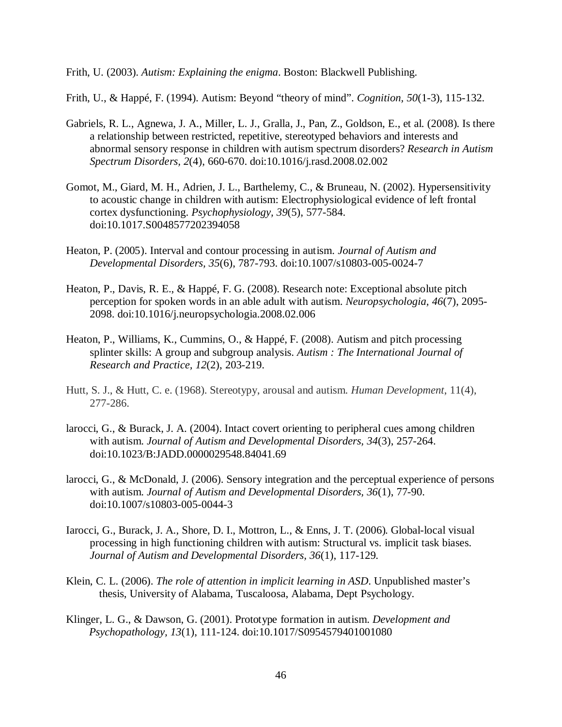Frith, U. (2003). *Autism: Explaining the enigma*. Boston: Blackwell Publishing.

Frith, U., & Happé, F. (1994). Autism: Beyond "theory of mind". *Cognition, 50*(1-3), 115-132.

- Gabriels, R. L., Agnewa, J. A., Miller, L. J., Gralla, J., Pan, Z., Goldson, E., et al. (2008). Is there a relationship between restricted, repetitive, stereotyped behaviors and interests and abnormal sensory response in children with autism spectrum disorders? *Research in Autism Spectrum Disorders, 2*(4), 660-670. doi:10.1016/j.rasd.2008.02.002
- Gomot, M., Giard, M. H., Adrien, J. L., Barthelemy, C., & Bruneau, N. (2002). Hypersensitivity to acoustic change in children with autism: Electrophysiological evidence of left frontal cortex dysfunctioning. *Psychophysiology, 39*(5), 577-584. doi:10.1017.S0048577202394058
- Heaton, P. (2005). Interval and contour processing in autism. *Journal of Autism and Developmental Disorders, 35*(6), 787-793. doi:10.1007/s10803-005-0024-7
- Heaton, P., Davis, R. E., & Happé, F. G. (2008). Research note: Exceptional absolute pitch perception for spoken words in an able adult with autism. *Neuropsychologia, 46*(7), 2095- 2098. doi:10.1016/j.neuropsychologia.2008.02.006
- Heaton, P., Williams, K., Cummins, O., & Happé, F. (2008). Autism and pitch processing splinter skills: A group and subgroup analysis. *Autism : The International Journal of Research and Practice, 12*(2), 203-219.
- Hutt, S. J., & Hutt, C. e. (1968). Stereotypy, arousal and autism. *Human Development*, 11(4), 277-286.
- larocci, G., & Burack, J. A. (2004). Intact covert orienting to peripheral cues among children with autism. *Journal of Autism and Developmental Disorders, 34*(3), 257-264. doi:10.1023/B:JADD.0000029548.84041.69
- larocci, G., & McDonald, J. (2006). Sensory integration and the perceptual experience of persons with autism. *Journal of Autism and Developmental Disorders, 36*(1), 77-90. doi:10.1007/s10803-005-0044-3
- Iarocci, G., Burack, J. A., Shore, D. I., Mottron, L., & Enns, J. T. (2006). Global-local visual processing in high functioning children with autism: Structural vs. implicit task biases. *Journal of Autism and Developmental Disorders, 36*(1), 117-129.
- Klein, C. L. (2006). *The role of attention in implicit learning in ASD*. Unpublished master's thesis, University of Alabama, Tuscaloosa, Alabama, Dept Psychology.
- Klinger, L. G., & Dawson, G. (2001). Prototype formation in autism. *Development and Psychopathology, 13*(1), 111-124. doi:10.1017/S0954579401001080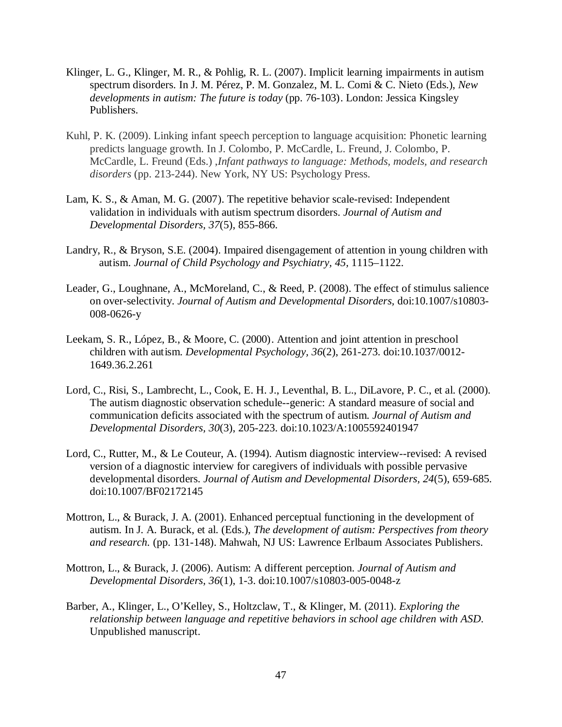- Klinger, L. G., Klinger, M. R., & Pohlig, R. L. (2007). Implicit learning impairments in autism spectrum disorders. In J. M. Pérez, P. M. Gonzalez, M. L. Comi & C. Nieto (Eds.), *New developments in autism: The future is today* (pp. 76-103). London: Jessica Kingsley Publishers.
- Kuhl, P. K. (2009). Linking infant speech perception to language acquisition: Phonetic learning predicts language growth. In J. Colombo, P. McCardle, L. Freund, J. Colombo, P. McCardle, L. Freund (Eds.) ,*Infant pathways to language: Methods, models, and research disorders* (pp. 213-244). New York, NY US: Psychology Press.
- Lam, K. S., & Aman, M. G. (2007). The repetitive behavior scale-revised: Independent validation in individuals with autism spectrum disorders. *Journal of Autism and Developmental Disorders, 37*(5), 855-866.
- Landry, R., & Bryson, S.E. (2004). Impaired disengagement of attention in young children with autism. *Journal of Child Psychology and Psychiatry, 45,* 1115–1122.
- Leader, G., Loughnane, A., McMoreland, C., & Reed, P. (2008). The effect of stimulus salience on over-selectivity. *Journal of Autism and Developmental Disorders,* doi:10.1007/s10803- 008-0626-y
- Leekam, S. R., López, B., & Moore, C. (2000). Attention and joint attention in preschool children with autism. *Developmental Psychology, 36*(2), 261-273. doi:10.1037/0012- 1649.36.2.261
- Lord, C., Risi, S., Lambrecht, L., Cook, E. H. J., Leventhal, B. L., DiLavore, P. C., et al. (2000). The autism diagnostic observation schedule--generic: A standard measure of social and communication deficits associated with the spectrum of autism. *Journal of Autism and Developmental Disorders, 30*(3), 205-223. doi:10.1023/A:1005592401947
- Lord, C., Rutter, M., & Le Couteur, A. (1994). Autism diagnostic interview--revised: A revised version of a diagnostic interview for caregivers of individuals with possible pervasive developmental disorders. *Journal of Autism and Developmental Disorders, 24*(5), 659-685. doi:10.1007/BF02172145
- Mottron, L., & Burack, J. A. (2001). Enhanced perceptual functioning in the development of autism. In J. A. Burack, et al. (Eds.), *The development of autism: Perspectives from theory and research.* (pp. 131-148). Mahwah, NJ US: Lawrence Erlbaum Associates Publishers.
- Mottron, L., & Burack, J. (2006). Autism: A different perception. *Journal of Autism and Developmental Disorders, 36*(1), 1-3. doi:10.1007/s10803-005-0048-z
- Barber, A., Klinger, L., O'Kelley, S., Holtzclaw, T., & Klinger, M. (2011). *Exploring the relationship between language and repetitive behaviors in school age children with ASD*. Unpublished manuscript.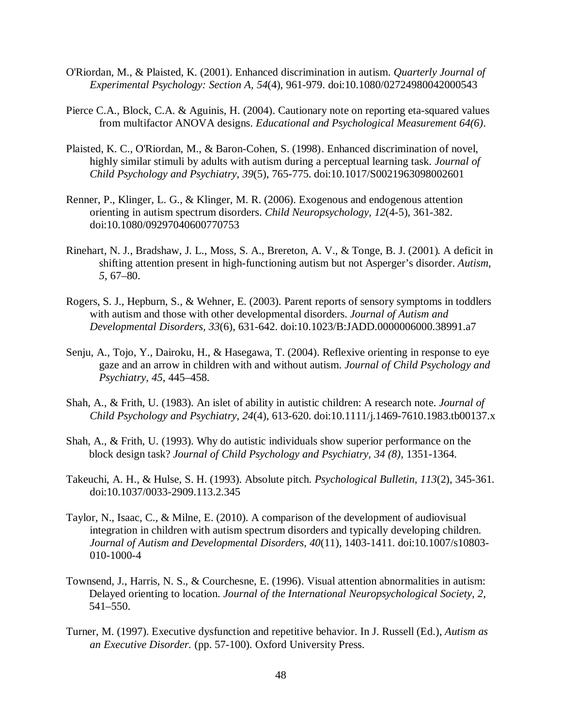- O'Riordan, M., & Plaisted, K. (2001). Enhanced discrimination in autism. *Quarterly Journal of Experimental Psychology: Section A, 54*(4), 961-979. doi:10.1080/02724980042000543
- Pierce C.A., Block, C.A. & Aguinis, H. (2004). Cautionary note on reporting eta-squared values from multifactor ANOVA designs. *Educational and Psychological Measurement 64(6)*.
- Plaisted, K. C., O'Riordan, M., & Baron-Cohen, S. (1998). Enhanced discrimination of novel, highly similar stimuli by adults with autism during a perceptual learning task. *Journal of Child Psychology and Psychiatry, 39*(5), 765-775. doi:10.1017/S0021963098002601
- Renner, P., Klinger, L. G., & Klinger, M. R. (2006). Exogenous and endogenous attention orienting in autism spectrum disorders. *Child Neuropsychology, 12*(4-5), 361-382. doi:10.1080/09297040600770753
- Rinehart, N. J., Bradshaw, J. L., Moss, S. A., Brereton, A. V., & Tonge, B. J. (2001). A deficit in shifting attention present in high-functioning autism but not Asperger's disorder. *Autism, 5,* 67–80.
- Rogers, S. J., Hepburn, S., & Wehner, E. (2003). Parent reports of sensory symptoms in toddlers with autism and those with other developmental disorders. *Journal of Autism and Developmental Disorders, 33*(6), 631-642. doi:10.1023/B:JADD.0000006000.38991.a7
- Senju, A., Tojo, Y., Dairoku, H., & Hasegawa, T. (2004). Reflexive orienting in response to eye gaze and an arrow in children with and without autism. *Journal of Child Psychology and Psychiatry, 45,* 445–458.
- Shah, A., & Frith, U. (1983). An islet of ability in autistic children: A research note. *Journal of Child Psychology and Psychiatry, 24*(4), 613-620. doi:10.1111/j.1469-7610.1983.tb00137.x
- Shah, A., & Frith, U. (1993). Why do autistic individuals show superior performance on the block design task? *Journal of Child Psychology and Psychiatry, 34 (8),* 1351-1364.
- Takeuchi, A. H., & Hulse, S. H. (1993). Absolute pitch. *Psychological Bulletin, 113*(2), 345-361. doi:10.1037/0033-2909.113.2.345
- Taylor, N., Isaac, C., & Milne, E. (2010). A comparison of the development of audiovisual integration in children with autism spectrum disorders and typically developing children. *Journal of Autism and Developmental Disorders, 40*(11), 1403-1411. doi:10.1007/s10803- 010-1000-4
- Townsend, J., Harris, N. S., & Courchesne, E. (1996). Visual attention abnormalities in autism: Delayed orienting to location. *Journal of the International Neuropsychological Society, 2,* 541–550.
- Turner, M. (1997). Executive dysfunction and repetitive behavior. In J. Russell (Ed.), *Autism as an Executive Disorder.* (pp. 57-100). Oxford University Press.